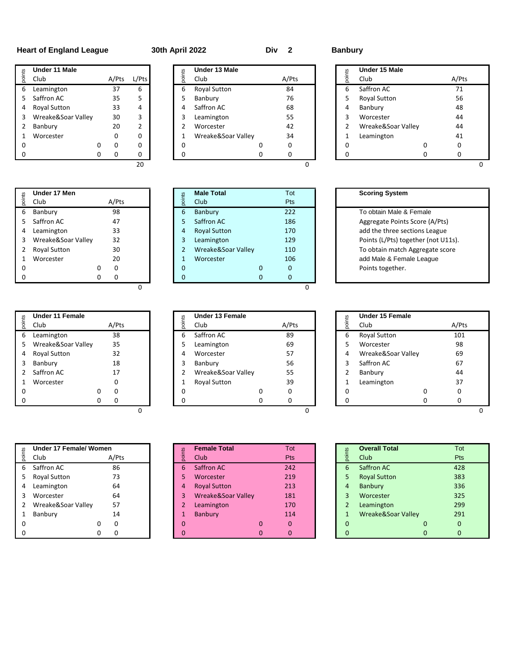# **Heart of England League 30th April 2022 Div 2 Banbury**

|        | Under 11 Male       |   |       |                |
|--------|---------------------|---|-------|----------------|
| points | Club                |   | A/Pts | L/Pts          |
| 6      | Leamington          |   | 37    | 6              |
| 5      | Saffron AC          |   | 35    | 5              |
| 4      | <b>Royal Sutton</b> |   | 33    | 4              |
| 3      | Wreake&Soar Valley  |   | 30    | 3              |
| 2      | Banbury             |   | 20    | $\overline{2}$ |
| 1      | Worcester           |   | ŋ     | 0              |
| O      |                     | Ω | O     | 0              |
| n      |                     | n |       | ŋ              |
|        |                     |   |       |                |

|        | Under 17 Men        |   |       |                | <b>Male Total</b>   |   | Тc |
|--------|---------------------|---|-------|----------------|---------------------|---|----|
| points | Club                |   | A/Pts | points         | Club                |   | Pt |
| 6      | Banbury             |   | 98    | 6              | Banbury             |   | 22 |
| 5      | Saffron AC          |   | 47    | 5              | Saffron AC          |   | 18 |
| 4      | Leamington          |   | 33    | $\overline{4}$ | <b>Royal Sutton</b> |   | 17 |
| 3      | Wreake&Soar Valley  |   | 32    | 3              | Leamington          |   | 12 |
|        | <b>Royal Sutton</b> |   | 30    | $\overline{2}$ | Wreake&Soar Valley  |   | 11 |
|        | Worcester           |   | 20    | 1              | Worcester           |   | 10 |
| 0      |                     | 0 | 0     | $\Omega$       |                     | 0 | 0  |
|        |                     | 0 | O     | O              |                     | O | 0  |

|    | Under 11 Female     |       |  |   | Under 13 Female    |       | 57 | Under 15 Female     |       |  |
|----|---------------------|-------|--|---|--------------------|-------|----|---------------------|-------|--|
| ā  | Club                | A/Pts |  |   | Club               | A/Pts | ·등 | Club                | A/Pts |  |
| 6  | Leamington          | 38    |  | 6 | Saffron AC         | 89    | 6  | <b>Royal Sutton</b> | 101   |  |
| 5. | Wreake&Soar Valley  | 35    |  |   | Leamington         | 69    |    | Worcester           | 98    |  |
| 4  | <b>Royal Sutton</b> | 32    |  | 4 | Worcester          | 57    | 4  | Wreake&Soar Valley  | 69    |  |
| 3  | Banbury             | 18    |  |   | Banbury            | 56    |    | Saffron AC          | 67    |  |
|    | Saffron AC          | 17    |  |   | Wreake&Soar Valley | 55    |    | Banbury             | 44    |  |
|    | Worcester           |       |  |   | Royal Sutton       | 39    |    | Leamington          | 37    |  |
|    |                     | 0     |  |   |                    | 0     |    |                     |       |  |
|    |                     | O     |  |   |                    |       |    |                     |       |  |
|    |                     |       |  |   |                    |       |    |                     |       |  |

|               | <b>Under 17 Female/ Women</b> |       |
|---------------|-------------------------------|-------|
| points        | Club                          | A/Pts |
| 6             | Saffron AC                    | 86    |
| 5             | <b>Royal Sutton</b>           | 73    |
| 4             | Leamington                    | 64    |
| ર             | Worcester                     | 64    |
| $\mathcal{P}$ | Wreake&Soar Valley            | 57    |
| 1             | Banbury                       | 14    |
| ი             |                               |       |
| n             |                               |       |

**Under 11 Male Under 13 Male Under 15 Male** Club A/Pts L/Pts Club A/Pts Club A/Pts Leamington 37 6 6 Royal Sutton 84 6 Saffron AC 71 Saffron AC 35 5 5 Banbury 76 5 Royal Sutton 56 4 Royal Sutton 33 4 4 Saffron AC 68 4 Banbury 48 3 Wreake&Soar Valley 30 3 | | 3 Leamington 55 | 3 Worcester 44 Banbury 20 2 2 Worcester 42 2 Wreake&Soar Valley 44 1 Wreake&Soar Valley 34 0 0 0 0 0 0 0 0 0 0 0 0 0 0 0 0 0 0 0

|        | <b>Under I'll Male</b>  |        |       |                 | Under is male           |              |                | Under 15 male                       |                |
|--------|-------------------------|--------|-------|-----------------|-------------------------|--------------|----------------|-------------------------------------|----------------|
| points | Club                    | A/Pts  | L/Pts | points          | Club                    | A/Pts        | points         | Club                                | A/F            |
| 6      | Leamington              | 37     | 6     | 6               | Royal Sutton            | 84           | 6              | Saffron AC                          | 7:             |
| 5      | Saffron AC              | 35     | 5     | 5               | Banbury                 | 76           | 5              | Royal Sutton                        | 56             |
| 4      | Royal Sutton            | 33     | 4     | 4               | Saffron AC              | 68           | 4              | Banbury                             | 48             |
| 3      | Wreake&Soar Valley      | 30     | 3     | 3               | Leamington              | 55           | 3              | Worcester                           | 4 <sub>4</sub> |
| 2      | Banbury                 | 20     | 2     | 2               | Worcester               | 42           | 2              | Wreake&Soar Valley                  | 4              |
| 1      | Worcester               | 0      | 0     | 1               | Wreake&Soar Valley      | 34           | 1              | Leamington                          | 4 <sup>°</sup> |
| 0      |                         | 0<br>0 | 0     | 0               | 0                       | 0            | 0              | 0                                   | 0              |
| 0      |                         | 0<br>0 | 0     | $\mathbf 0$     | 0                       | 0            | 0              | 0                                   | 0              |
|        |                         |        | 20    |                 |                         | $\Omega$     |                |                                     |                |
|        | Under 17 Men            |        |       |                 | <b>Male Total</b>       | Tot          |                | <b>Scoring System</b>               |                |
| points | Club                    | A/Pts  |       | points          | Club                    | Pts          |                |                                     |                |
| 6      | Banbury                 | 98     |       | $6\phantom{1}6$ | <b>Banbury</b>          | 222          |                | To obtain Male & Female             |                |
| 5      | Saffron AC              | 47     |       | 5               | Saffron AC              | 186          |                | Aggregate Points Score (A/Pts)      |                |
| 4      | Leamington              | 33     |       | $\overline{4}$  | <b>Royal Sutton</b>     | 170          |                | add the three sections League       |                |
| 3      | Wreake&Soar Valley      | 32     |       | 3               | Leamington              | 129          |                | Points (L/Pts) together (not U11s). |                |
| 2      | <b>Royal Sutton</b>     | 30     |       | $\overline{2}$  | Wreake&Soar Valley      | 110          |                | To obtain match Aggregate score     |                |
| 1      | Worcester               | 20     |       | $\mathbf{1}$    | Worcester               | 106          |                | add Male & Female League            |                |
| 0      |                         | 0<br>0 |       | $\mathbf 0$     | 0                       | 0            |                | Points together.                    |                |
| 0      |                         | 0<br>0 |       | $\mathbf{0}$    | $\mathbf{0}$            | $\mathbf{0}$ |                |                                     |                |
| points | Under 11 Female<br>Club | A/Pts  |       | points          | Under 13 Female<br>Club | A/Pts        | points         | Under 15 Female<br>Club             | A/F            |
| 6      | Leamington              | 38     |       | 6               | Saffron AC              | 89           | 6              | <b>Royal Sutton</b>                 | 10             |
| 5      | Wreake&Soar Valley      | 35     |       | 5               | Leamington              | 69           | 5              | Worcester                           | 98             |
| 4      | Royal Sutton            | 32     |       | $\overline{4}$  | Worcester               | 57           | 4              | Wreake&Soar Valley                  | 69             |
| 3      | Banbury                 | 18     |       | 3               | Banbury                 | 56           | 3              | Saffron AC                          | 6 <sup>2</sup> |
| 2      | Saffron AC              | 17     |       | $\overline{2}$  | Wreake&Soar Valley      | 55           | 2              | Banbury                             | 4              |
| 1      | Worcester               | 0      |       | $\mathbf{1}$    | Royal Sutton            | 39           | $\mathbf 1$    | Leamington                          | $\mathbf{3}$   |
| 0      |                         | 0<br>0 |       | 0               | 0                       | 0            | 0              | 0                                   | 0              |
| 0      |                         | 0<br>0 |       | $\mathbf 0$     | 0                       | 0            | 0              | 0                                   | 0              |
|        |                         |        | 0     |                 |                         | 0            |                |                                     |                |
|        | Under 17 Female/ Women  |        |       |                 | <b>Female Total</b>     | Tot          |                | <b>Overall Total</b>                | <b>T</b>       |
| points | Club                    | A/Pts  |       | points          | Club                    | Pts          | points         | Club                                | Pt             |
| 6      | Saffron AC              | 86     |       | 6               | Saffron AC              | 242          | 6              | Saffron AC                          | 42             |
| 5      | <b>Royal Sutton</b>     | 73     |       | 5               | Worcester               | 219          | 5              | <b>Royal Sutton</b>                 | 38             |
| 4      | Leamington              | 64     |       | 4               | <b>Royal Sutton</b>     | 213          | $\overline{4}$ | <b>Banbury</b>                      | 33             |
| 3      | Worcester               | 64     |       | 3               | Wreake&Soar Valley      | 181          | 3              | Worcester                           | 32             |
|        |                         |        |       |                 |                         |              |                |                                     |                |
| 2      | Wreake&Soar Valley      | 57     |       | $\overline{2}$  |                         | 170          | 2              |                                     | 29             |
| 1      | Banbury                 | 14     |       | $\mathbf{1}$    | Leamington<br>Banbury   | 114          | $\mathbf{1}$   | Leamington<br>Wreake&Soar Valley    | 29             |
| 0      |                         | 0<br>0 |       | $\mathbf 0$     | 0                       | 0            | 0              |                                     | $\circ$        |
| 0      |                         | 0<br>0 |       | 0               | $\mathbf 0$             | 0            | $\mathbf 0$    | $\boldsymbol{0}$<br>0               | $\mathbf 0$    |

|    | Under 11 Female      |       | 67 | <b>Under 13 Female</b> |              | ıts | Under 15 Female    |       |
|----|----------------------|-------|----|------------------------|--------------|-----|--------------------|-------|
|    | Club                 | A/Pts |    | Club                   | A/Pts        | నే  | Club               | A/Pts |
| 6. | Leamington           | 38    | 6  | Saffron AC             | 89           | 6   | Royal Sutton       | 101   |
|    | 5 Wreake&Soar Valley | 35    |    | Leamington             | 69           |     | Worcester          | 98    |
|    | 4 Royal Sutton       | 32    | 4  | Worcester              | 57           | 4   | Wreake&Soar Valley | 69    |
|    | 3 Banbury            | 18    |    | Banbury                | 56           |     | Saffron AC         | 67    |
|    | 2 Saffron AC         | 17    |    | Wreake&Soar Valley     | 55           |     | Banbury            | 44    |
|    | Worcester            |       |    | <b>Royal Sutton</b>    | 39           |     | Leamington         | 37    |
|    |                      | 0     |    |                        | <sup>0</sup> |     |                    | 0     |
|    |                      |       |    |                        |              |     |                    |       |

| Under 17 Female/ Women     |   | <b>Female Total</b> |   | Tot        |   | <b>Overall Total</b> | Tot      |
|----------------------------|---|---------------------|---|------------|---|----------------------|----------|
| Club<br>A/Pts              |   | Club                |   | <b>Pts</b> |   | Club                 | Pts      |
| 6 Saffron AC<br>86         | 6 | Saffron AC          |   | 242        | 6 | Saffron AC           | 428      |
| 5 Royal Sutton<br>73       |   | Worcester           |   | 219        |   | <b>Royal Sutton</b>  | 383      |
| 64<br>4 Leamington         | 4 | <b>Royal Sutton</b> |   | 213        | 4 | Banbury              | 336      |
| 3 Worcester<br>64          |   | Wreake&Soar Valley  |   | 181        |   | Worcester            | 325      |
| 57<br>2 Wreake&Soar Valley |   | Leamington          |   | 170        |   | Leamington           | 299      |
| 1 Banbury<br>14            |   | <b>Banbury</b>      |   | 114        |   | Wreake&Soar Valley   | 291      |
| $\Omega$                   |   |                     | 0 | 0          |   |                      | $\Omega$ |
|                            |   |                     | ი |            |   |                      | $\Omega$ |

|        | Under 15 Male      |   |       |
|--------|--------------------|---|-------|
| points | Club               |   | A/Pts |
| 6      | Saffron AC         |   | 71    |
| 5      | Royal Sutton       |   | 56    |
| 4      | Banbury            |   | 48    |
| 3      | Worcester          |   | 44    |
| 2      | Wreake&Soar Valley |   | 44    |
| 1      | Leamington         |   | 41    |
| 0      |                    | ი | ი     |
| ი      |                    |   |       |

| <b>Scoring System</b>               |
|-------------------------------------|
| To obtain Male & Female             |
| Aggregate Points Score (A/Pts)      |
| add the three sections League       |
| Points (L/Pts) together (not U11s). |
| To obtain match Aggregate score     |
| add Male & Female League            |
| Points together.                    |
|                                     |

|        | Under 15 Female    |   |       |
|--------|--------------------|---|-------|
| points | Club               |   | A/Pts |
| 6      | Royal Sutton       |   | 101   |
| 5      | Worcester          |   | 98    |
| 4      | Wreake&Soar Valley |   | 69    |
| 3      | Saffron AC         |   | 67    |
| 2      | Banbury            |   | 44    |
| 1      | Leamington         |   | 37    |
| ი      |                    | n | ი     |
|        |                    |   |       |

|                | <b>Overall Total</b> | Tot |
|----------------|----------------------|-----|
| points         | Club                 | Pts |
| 6              | Saffron AC           | 428 |
| 5              | <b>Royal Sutton</b>  | 383 |
| 4              | Banbury              | 336 |
| 3              | Worcester            | 325 |
| $\overline{2}$ | Leamington           | 299 |
| $\mathbf{1}$   | Wreake&Soar Valley   | 291 |
| 0              | ი                    |     |
|                | n                    |     |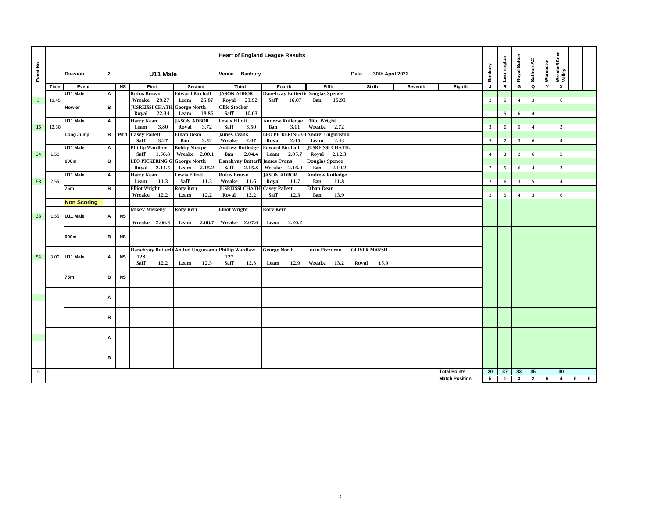| Event No |       | <b>Division</b>    | $\overline{2}$ |           | U11 Male                                              |                                                    | Venue Banbury                         | <b>Heart of England League Results</b> |                                       | 30th April 2022<br>Date |         |                       | Banbury        | Leamington     | Royal Sutton   | Saffron AC              | Worcester | Wreake&Soar<br>Valley     |   |   |
|----------|-------|--------------------|----------------|-----------|-------------------------------------------------------|----------------------------------------------------|---------------------------------------|----------------------------------------|---------------------------------------|-------------------------|---------|-----------------------|----------------|----------------|----------------|-------------------------|-----------|---------------------------|---|---|
|          | Time  | Event              |                | <b>NS</b> | First                                                 | Second                                             | Third                                 | Fourth                                 | Fifth                                 | Sixth                   | Seventh | Eighth                | J              | ${\sf R}$      | G              | Q                       | Y         | $\boldsymbol{\mathsf{x}}$ |   |   |
|          |       | U11 Male           | A              |           | <b>Rufus Brown</b>                                    | <b>Edward Birchall</b>                             | <b>JASON ADBOR</b>                    | Danehvay Butterfi Douglas Spence       |                                       |                         |         |                       |                |                |                |                         |           |                           |   |   |
| 5        | 11.45 |                    |                |           | Wreake 29.27                                          | Leam<br>25.87                                      | Royal<br>23.92                        | Saff<br>16.07                          | 15.93<br>Ban                          |                         |         |                       | $\overline{2}$ | 5              | $\overline{4}$ | $\overline{\mathbf{3}}$ |           | 6                         |   |   |
|          |       | Howler             | в              |           | <b>JUSREISSI CHATH George North</b><br>22.34<br>Royal | Leam<br>18.86                                      | <b>Ollie Stocker</b><br>Saff<br>10.03 |                                        |                                       |                         |         |                       |                | 5              | 6              | $\overline{4}$          |           |                           |   |   |
|          |       | U11 Male           | A              |           | <b>Harry Kean</b>                                     | <b>JASON ADBOR</b>                                 | <b>Lewis Elliott</b>                  | <b>Andrew Rutledge</b>                 | <b>Elliot Wright</b>                  |                         |         |                       |                |                |                |                         |           |                           |   |   |
| 16       | 12.30 |                    |                |           | Leam<br>3.80                                          | Royal<br>3.72                                      | Saff<br>3.50                          | Ban<br>3.11                            | Wreake<br>2.72                        |                         |         |                       | $\overline{3}$ | 6              | 5              | $\overline{4}$          |           | $\overline{2}$            |   |   |
|          |       | Long Jump          | в              |           | Pit 1 Casey Pallett                                   | Ethan Dean                                         | <b>James Evans</b>                    | <b>LEO PICKERING G</b>                 | Andrei Ungureanu                      |                         |         |                       |                |                |                |                         |           |                           |   |   |
|          |       |                    |                |           | Saff<br>3.27                                          | Ban<br>2.52                                        | Wreake<br>2.47                        | Royal<br>2.45                          | 2.43<br>Leam                          |                         |         |                       | 5              | $\overline{2}$ | 3              | 6                       |           | 4                         |   |   |
|          |       | U11 Male           | A              |           | <b>Phillip Wardlaw</b>                                | <b>Bobby Sharpe</b>                                | <b>Andrew Rutledge</b>                | <b>Edward Birchall</b>                 | <b>JUSREISSI CHATH</b>                |                         |         |                       |                |                |                |                         |           |                           |   |   |
| 34       | 1.50  |                    |                |           | Saff<br>1.56.8                                        | Wreake 2.00.1                                      | 2.04.4<br>Ban                         | Leam<br>2.05.7                         | 2.12.3<br>Royal                       |                         |         |                       | $\overline{4}$ | $\overline{3}$ | $\overline{2}$ | 6                       |           | 5                         |   |   |
|          |       | 600m               | в              |           | <b>LEO PICKERING GI George North</b>                  |                                                    | Danehvay Butterfi                     | <b>James Evans</b>                     | <b>Douglas Spence</b>                 |                         |         |                       |                |                |                |                         |           |                           |   |   |
|          |       |                    |                |           | Royal<br>2.14.5                                       | Leam<br>2.15.2                                     | Saff<br>2.15.8                        | Wreake 2.16.9                          | Ban<br>2.19.2                         |                         |         |                       | $\overline{2}$ | 5              | 6              | $\overline{4}$          |           | $\overline{3}$            |   |   |
| 53       | 2.55  | U11 Male           | A              |           | <b>Harry Kean</b><br>11.3<br>Leam                     | <b>Lewis Elliott</b><br>Saff<br>11.3               | <b>Rufus Brown</b><br>Wreake<br>11.6  | <b>JASON ADBOR</b><br>Royal<br>11.7    | <b>Andrew Rutledge</b><br>11.8<br>Ban |                         |         |                       | $\overline{2}$ | 6              | 3              | 5                       |           | $\overline{4}$            |   |   |
|          |       | 75m                | в              |           | <b>Elliot Wright</b>                                  | <b>Rory Kerr</b>                                   | <b>JUSREISSI CHATH Casey Pallett</b>  |                                        | Ethan Dean                            |                         |         |                       |                |                |                |                         |           |                           |   |   |
|          |       |                    |                |           | Wreake 12.2                                           | 12.2<br>Leam                                       | 12.2<br>Royal                         | Saff<br>12.3                           | 13.9<br>Ban                           |                         |         |                       | $\overline{2}$ | 5              | $\overline{4}$ | 3                       |           | 6                         |   |   |
|          |       | <b>Non Scoring</b> |                |           |                                                       |                                                    |                                       |                                        |                                       |                         |         |                       |                |                |                |                         |           |                           |   |   |
|          |       |                    |                |           | <b>Mikey Miskelly</b>                                 | <b>Rory Kerr</b>                                   | <b>Elliot Wright</b>                  | <b>Rory Kerr</b>                       |                                       |                         |         |                       |                |                |                |                         |           |                           |   |   |
| 38       |       | 1.55 U11 Male      | А              | <b>NS</b> |                                                       |                                                    |                                       |                                        |                                       |                         |         |                       |                |                |                |                         |           |                           |   |   |
|          |       |                    |                |           | Wreake 2.06.3                                         | Leam<br>2.06.7                                     | Wreake 2.07.0                         | Leam<br>2.20.2                         |                                       |                         |         |                       |                |                |                |                         |           |                           |   |   |
|          |       | 600m               | в              | <b>NS</b> |                                                       |                                                    |                                       |                                        |                                       |                         |         |                       |                |                |                |                         |           |                           |   |   |
|          |       |                    |                |           |                                                       |                                                    |                                       |                                        |                                       |                         |         |                       |                |                |                |                         |           |                           |   |   |
| 54       |       | 3.00 U11 Male      | А              | <b>NS</b> | 128                                                   | Danehvay Butterfi Andrei Ungureanu Phillip Wardlaw | 127                                   | <b>George North</b>                    | Lucio Pizzorno                        | <b>OLIVER MARSH</b>     |         |                       |                |                |                |                         |           |                           |   |   |
|          |       |                    |                |           | Saff<br>12.2                                          | 12.3<br>Leam                                       | Saff<br>12.3                          | 12.9<br>Leam                           | Wreake 13.2                           | 15.9<br>Royal           |         |                       |                |                |                |                         |           |                           |   |   |
|          |       |                    |                |           |                                                       |                                                    |                                       |                                        |                                       |                         |         |                       |                |                |                |                         |           |                           |   |   |
|          |       | 75m                | в              | <b>NS</b> |                                                       |                                                    |                                       |                                        |                                       |                         |         |                       |                |                |                |                         |           |                           |   |   |
|          |       |                    |                |           |                                                       |                                                    |                                       |                                        |                                       |                         |         |                       |                |                |                |                         |           |                           |   |   |
|          |       |                    |                |           |                                                       |                                                    |                                       |                                        |                                       |                         |         |                       |                |                |                |                         |           |                           |   |   |
|          |       |                    | A              |           |                                                       |                                                    |                                       |                                        |                                       |                         |         |                       |                |                |                |                         |           |                           |   |   |
|          |       |                    |                |           |                                                       |                                                    |                                       |                                        |                                       |                         |         |                       |                |                |                |                         |           |                           |   |   |
|          |       |                    | в              |           |                                                       |                                                    |                                       |                                        |                                       |                         |         |                       |                |                |                |                         |           |                           |   |   |
|          |       |                    |                |           |                                                       |                                                    |                                       |                                        |                                       |                         |         |                       |                |                |                |                         |           |                           |   |   |
|          |       |                    |                |           |                                                       |                                                    |                                       |                                        |                                       |                         |         |                       |                |                |                |                         |           |                           |   |   |
|          |       |                    | Α              |           |                                                       |                                                    |                                       |                                        |                                       |                         |         |                       |                |                |                |                         |           |                           |   |   |
|          |       |                    |                |           |                                                       |                                                    |                                       |                                        |                                       |                         |         |                       |                |                |                |                         |           |                           |   |   |
|          |       |                    |                |           |                                                       |                                                    |                                       |                                        |                                       |                         |         |                       |                |                |                |                         |           |                           |   |   |
|          |       |                    | в              |           |                                                       |                                                    |                                       |                                        |                                       |                         |         |                       |                |                |                |                         |           |                           |   |   |
|          |       |                    |                |           |                                                       |                                                    |                                       |                                        |                                       |                         |         |                       |                |                |                |                         |           |                           |   |   |
| 6        |       |                    |                |           |                                                       |                                                    |                                       |                                        |                                       |                         |         | <b>Total Points</b>   | 20             | 37             | 33             | 35                      |           | 30                        |   |   |
|          |       |                    |                |           |                                                       |                                                    |                                       |                                        |                                       |                         |         | <b>Match Position</b> | 5              | $\mathbf{1}$   | $\mathbf{3}$   | $\overline{2}$          | 6         | $\overline{4}$            | 6 | 6 |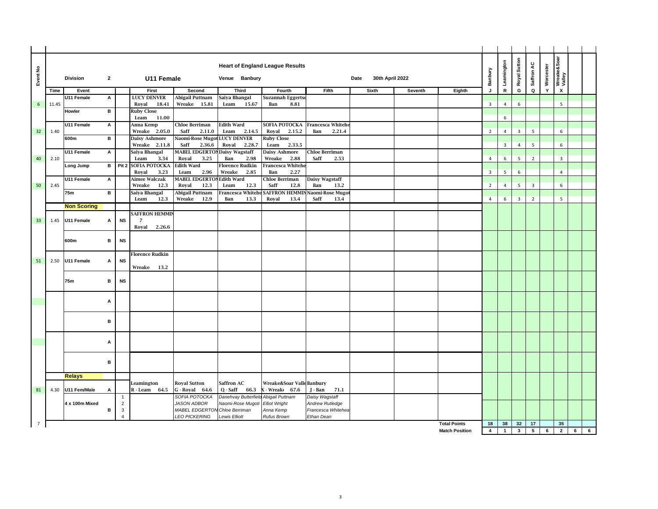| Event No       |       | <b>Division</b>    | $\overline{2}$ |                                | U11 Female                         |                                                | Venue Banbury                            | <b>Heart of England League Results</b> |                                              | 30th April 2022<br>Date |         |                       | Banbury                 | Leamington              | Royal Sutton            | Saffron AC     | Worcester | Wreake&Soar<br>Valley     |                  |  |
|----------------|-------|--------------------|----------------|--------------------------------|------------------------------------|------------------------------------------------|------------------------------------------|----------------------------------------|----------------------------------------------|-------------------------|---------|-----------------------|-------------------------|-------------------------|-------------------------|----------------|-----------|---------------------------|------------------|--|
|                | Time  | Event              |                |                                | First                              | Second                                         | Third                                    | Fourth                                 | Fifth                                        | Sixth                   | Seventh | Eighth                | J                       | ${\sf R}$               | G                       | $\mathbf Q$    | Y         | $\boldsymbol{\mathsf{x}}$ |                  |  |
|                |       | U11 Female         | А              |                                | <b>LUCY DENVER</b>                 | Abigail Puttnam                                | Saiya Bhangal                            | <b>Suzannah Eggertse</b>               |                                              |                         |         |                       |                         |                         |                         |                |           |                           |                  |  |
| 6              | 11.45 |                    |                |                                | Royal<br>18.41                     | Wreake 15.81                                   | Leam<br>15.67                            | Ban<br>8.81                            |                                              |                         |         |                       | $\overline{\mathbf{3}}$ | $\overline{4}$          | 6                       |                |           | 5                         |                  |  |
|                |       | Howler             | B              |                                | <b>Ruby Close</b><br>Leam<br>11.00 |                                                |                                          |                                        |                                              |                         |         |                       |                         | $6\phantom{1}6$         |                         |                |           |                           |                  |  |
|                |       | U11 Female         | А              |                                | Anna Kemp                          | <b>Chloe Berriman</b>                          | <b>Edith Ward</b>                        | SOFIA POTOCKA                          | Francesca Whitehe                            |                         |         |                       |                         |                         |                         |                |           |                           |                  |  |
| 32             | 1.40  |                    |                |                                | Wreake 2.05.0                      | Saff<br>2.11.0                                 | Leam<br>2.14.5                           | Royal<br>2.15.2                        | Ban<br>2.21.4                                |                         |         |                       | $\overline{2}$          | 4                       | $\overline{\mathbf{3}}$ | 5              |           | 6                         |                  |  |
|                |       | 600m               | в              |                                | Daisy Ashmore<br>Wreake 2.11.8     | Naomi-Rose Mugot LUCY DENVER<br>Saff<br>2.36.6 | Royal<br>2.28.7                          | <b>Ruby Close</b><br>Leam<br>2.33.5    |                                              |                         |         |                       |                         | $\overline{\mathbf{3}}$ | $\overline{4}$          | 5              |           | 6                         |                  |  |
|                |       | U11 Female         | А              |                                | Saiya Bhangal                      | <b>MABEL EDGERTON Daisy Wagstaff</b>           |                                          | <b>Daisy Ashmore</b>                   | <b>Chloe Berriman</b>                        |                         |         |                       |                         |                         |                         |                |           |                           |                  |  |
| 40             | 2.10  |                    |                |                                | Leam<br>3.34                       | Royal<br>3.25                                  | Ban<br>2.98                              | 2.88<br>Wreake                         | Saff<br>2.53                                 |                         |         |                       | $\overline{4}$          | 6                       | 5                       | $\overline{2}$ |           | 3                         |                  |  |
|                |       | Long Jump          | в              | Pit 2                          | SOFIA POTOCKA<br>3.23              | <b>Edith Ward</b><br>2.96                      | <b>Florence Rudkin</b><br>Wreake<br>2.85 | Francesca Whitehe<br>2.27              |                                              |                         |         |                       |                         | 5                       | 6                       |                |           | $\overline{4}$            |                  |  |
|                |       | U11 Female         | A              |                                | Royal<br>Aimee Walczak             | Leam<br><b>MABEL EDGERTO</b>                   | <b>Edith Ward</b>                        | Ban<br>Chloe Berriman                  | Daisy Wagstaff                               |                         |         |                       | $\overline{\mathbf{3}}$ |                         |                         |                |           |                           |                  |  |
| 50             | 2.45  |                    |                |                                | 12.3<br>Wreake                     | 12.3<br>Royal                                  | 12.3<br>Leam                             | 12.8<br>Saff                           | 13.2<br>Ban                                  |                         |         |                       | $\overline{2}$          | $\overline{4}$          | 5                       | $\overline{3}$ |           | 6                         |                  |  |
|                |       | 75m                | в              |                                | Saiya Bhangal                      | <b>Abigail Puttnam</b>                         | Francesca Whiteh                         | <b>SAFFRON HEMMI</b>                   | Naomi-Rose Mugo                              |                         |         |                       |                         |                         |                         |                |           |                           |                  |  |
|                |       | <b>Non Scoring</b> |                |                                | Leam<br>12.3                       | Wreake<br>12.9                                 | Ban<br>13.3                              | Royal<br>13.4                          | Saff<br>13.4                                 |                         |         |                       | $\overline{4}$          | 6                       | $\overline{\mathbf{3}}$ | $\overline{2}$ |           | 5                         |                  |  |
|                |       |                    |                |                                | <b>SAFFRON HEMMIN</b>              |                                                |                                          |                                        |                                              |                         |         |                       |                         |                         |                         |                |           |                           |                  |  |
| 33             | 1.45  | U11 Female         | А              | <b>NS</b>                      | $\overline{7}$                     |                                                |                                          |                                        |                                              |                         |         |                       |                         |                         |                         |                |           |                           |                  |  |
|                |       |                    |                |                                | Royal<br>2.26.6                    |                                                |                                          |                                        |                                              |                         |         |                       |                         |                         |                         |                |           |                           |                  |  |
|                |       | 600m               | в              | <b>NS</b>                      |                                    |                                                |                                          |                                        |                                              |                         |         |                       |                         |                         |                         |                |           |                           |                  |  |
|                |       |                    |                |                                |                                    |                                                |                                          |                                        |                                              |                         |         |                       |                         |                         |                         |                |           |                           |                  |  |
|                |       |                    |                |                                | <b>Florence Rudkin</b>             |                                                |                                          |                                        |                                              |                         |         |                       |                         |                         |                         |                |           |                           |                  |  |
| 51             | 2.50  | U11 Female         | A              | <b>NS</b>                      | Wreake 13.2                        |                                                |                                          |                                        |                                              |                         |         |                       |                         |                         |                         |                |           |                           |                  |  |
|                |       |                    |                |                                |                                    |                                                |                                          |                                        |                                              |                         |         |                       |                         |                         |                         |                |           |                           |                  |  |
|                |       | 75m                | в              | <b>NS</b>                      |                                    |                                                |                                          |                                        |                                              |                         |         |                       |                         |                         |                         |                |           |                           |                  |  |
|                |       |                    |                |                                |                                    |                                                |                                          |                                        |                                              |                         |         |                       |                         |                         |                         |                |           |                           |                  |  |
|                |       |                    | A              |                                |                                    |                                                |                                          |                                        |                                              |                         |         |                       |                         |                         |                         |                |           |                           |                  |  |
|                |       |                    |                |                                |                                    |                                                |                                          |                                        |                                              |                         |         |                       |                         |                         |                         |                |           |                           |                  |  |
|                |       |                    | в              |                                |                                    |                                                |                                          |                                        |                                              |                         |         |                       |                         |                         |                         |                |           |                           |                  |  |
|                |       |                    |                |                                |                                    |                                                |                                          |                                        |                                              |                         |         |                       |                         |                         |                         |                |           |                           |                  |  |
|                |       |                    |                |                                |                                    |                                                |                                          |                                        |                                              |                         |         |                       |                         |                         |                         |                |           |                           |                  |  |
|                |       |                    | А              |                                |                                    |                                                |                                          |                                        |                                              |                         |         |                       |                         |                         |                         |                |           |                           |                  |  |
|                |       |                    |                |                                |                                    |                                                |                                          |                                        |                                              |                         |         |                       |                         |                         |                         |                |           |                           |                  |  |
|                |       |                    | в              |                                |                                    |                                                |                                          |                                        |                                              |                         |         |                       |                         |                         |                         |                |           |                           |                  |  |
|                |       |                    |                |                                |                                    |                                                |                                          |                                        |                                              |                         |         |                       |                         |                         |                         |                |           |                           |                  |  |
|                |       | <b>Relays</b>      |                |                                | Leamington                         | <b>Royal Sutton</b>                            | Saffron AC                               | Wreake&Soar ValleBanbury               |                                              |                         |         |                       |                         |                         |                         |                |           |                           |                  |  |
| 81             | 4.30  | U11 Fem/Male       | А              |                                | $R - Leam$ 64.5                    | G - Royal 64.6                                 | Q - Saff<br>66.3                         | K-Wreak 67.6                           | J - Ban<br>71.1                              |                         |         |                       |                         |                         |                         |                |           |                           |                  |  |
|                |       |                    |                | $\overline{1}$                 |                                    | SOFIA POTOCKA                                  | Danehvay Butterfield                     | Abigail Puttnam                        | Daisy Wagstaff                               |                         |         |                       |                         |                         |                         |                |           |                           |                  |  |
|                |       | 4 x 100m Mixed     | в              | $\overline{2}$<br>$\mathbf{3}$ |                                    | JASON ADBOR<br>MABEL EDGERTON Chloe Berriman   | Naomi-Rose Mugoti                        | <b>Elliot Wright</b><br>Anna Kemp      | <b>Andrew Rutledge</b><br>Francesca Whitehea |                         |         |                       |                         |                         |                         |                |           |                           |                  |  |
|                |       |                    |                | $\overline{A}$                 |                                    | <b>LEO PICKERING</b>                           | <b>Lewis Elliott</b>                     | <b>Rufus Brown</b>                     | Ethan Dean                                   |                         |         |                       |                         |                         |                         |                |           |                           |                  |  |
| $\overline{7}$ |       |                    |                |                                |                                    |                                                |                                          |                                        |                                              |                         |         | <b>Total Points</b>   | 18                      | 38                      | 32                      | 17             |           | 35                        |                  |  |
|                |       |                    |                |                                |                                    |                                                |                                          |                                        |                                              |                         |         | <b>Match Position</b> | $\overline{4}$          | $\overline{1}$          | $\overline{\mathbf{3}}$ |                | $5 \t 6$  | $\overline{\mathbf{2}}$   | $6 \overline{6}$ |  |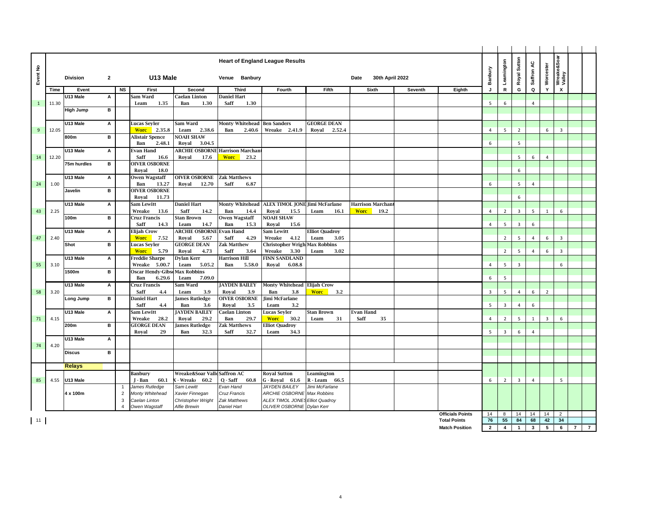| Event No     |       | <b>Division</b>  | $\mathbf{2}$   |                      | U13 Male                             |                                       | Venue Banbury                        | <b>Heart of England League Results</b>                   |                               | 30th April 2022<br>Date |         |                         | Banbury        | Leamington              | Royal Sutton            | Saffron AC     | Worcester      | Wreake&Soar<br>Valley     |                |                |
|--------------|-------|------------------|----------------|----------------------|--------------------------------------|---------------------------------------|--------------------------------------|----------------------------------------------------------|-------------------------------|-------------------------|---------|-------------------------|----------------|-------------------------|-------------------------|----------------|----------------|---------------------------|----------------|----------------|
|              |       |                  |                |                      |                                      |                                       |                                      |                                                          |                               |                         |         |                         |                |                         |                         |                |                |                           |                |                |
|              | Time  | Event            |                | <b>NS</b>            | First                                | Second                                | <b>Third</b>                         | Fourth                                                   | Fifth                         | Sixth                   | Seventh | Eighth                  | J              | ${\sf R}$               | G                       | Q              | Y              | $\boldsymbol{\mathsf{x}}$ |                |                |
|              |       | U13 Male         | А              |                      | Sam Ward                             | Caelan Linton                         | <b>Daniel Hart</b>                   |                                                          |                               |                         |         |                         |                |                         |                         |                |                |                           |                |                |
| $\mathbf{1}$ | 11.30 |                  |                |                      | 1.35<br>Leam                         | 1.30<br>Ban                           | 1.30<br>Saff                         |                                                          |                               |                         |         |                         | 5              | 6                       |                         | $\overline{4}$ |                |                           |                |                |
|              |       | <b>High Jump</b> | в              |                      |                                      |                                       |                                      |                                                          |                               |                         |         |                         |                |                         |                         |                |                |                           |                |                |
|              |       | U13 Male         | А              |                      | Lucas Seyler                         | Sam Ward                              | <b>Monty Whitehead</b>               | <b>Ben Sanders</b>                                       | <b>GEORGE DEAN</b>            |                         |         |                         |                |                         |                         |                |                |                           |                |                |
| 9            | 12.05 |                  |                |                      | <b>Worc</b><br>2.35.8                | 2.38.6<br>Leam                        | 2.40.6<br>Ban                        | Wreake 2.41.9                                            | Royal<br>2.52.4               |                         |         |                         | $\overline{4}$ | 5                       | $\overline{2}$          |                | 6              | $\overline{3}$            |                |                |
|              |       | 800m             | в              |                      | Alistair Spence                      | <b>NOAH SHAW</b>                      |                                      |                                                          |                               |                         |         |                         |                |                         |                         |                |                |                           |                |                |
|              |       |                  |                |                      | 2.48.1<br>Ban                        | Royal<br>3.04.5                       |                                      |                                                          |                               |                         |         |                         | 6              |                         | 5                       |                |                |                           |                |                |
|              |       | U13 Male         | А              |                      | Evan Hand                            | <b>ARCHIE OSBORNE</b>                 | <b>Harrison Marchan</b>              |                                                          |                               |                         |         |                         |                |                         |                         |                |                |                           |                |                |
| 14           | 12.20 |                  |                |                      | Saff<br>16.6                         | Royal<br>17.6                         | <b>Worc</b><br>23.2                  |                                                          |                               |                         |         |                         |                |                         | 5                       | 6              | $\overline{4}$ |                           |                |                |
|              |       | 75m hurdles      | в              |                      | <b>OIVER OSBORNE</b>                 |                                       |                                      |                                                          |                               |                         |         |                         |                |                         |                         |                |                |                           |                |                |
|              |       |                  |                |                      | Royal<br>18.0                        |                                       |                                      |                                                          |                               |                         |         |                         |                |                         | 6                       |                |                |                           |                |                |
|              |       | U13 Male         | А              |                      | Owen Wagstaff                        | <b>OIVER OSBORNE</b>                  | <b>Zak Matthews</b>                  |                                                          |                               |                         |         |                         |                |                         |                         |                |                |                           |                |                |
| 24           | 1.00  |                  | в              |                      | 13.27<br>Ban<br><b>OIVER OSBORNE</b> | Royal<br>12.70                        | Saff<br>6.87                         |                                                          |                               |                         |         |                         | 6              |                         | 5                       | $\overline{4}$ |                |                           |                |                |
|              |       | Javelin          |                |                      | Royal<br>11.73                       |                                       |                                      |                                                          |                               |                         |         |                         |                |                         | 6                       |                |                |                           |                |                |
|              |       | U13 Male         | А              |                      | Sam Lewitt                           | <b>Daniel Hart</b>                    | <b>Monty Whitehead</b>               | <b>ALEX TIMOL JONE Jimi McFarlane</b>                    |                               | <b>Harrison Marchan</b> |         |                         |                |                         |                         |                |                |                           |                |                |
| 43           | 2.25  |                  |                |                      | Wreake<br>13.6                       | Saff<br>14.2                          | Ban<br>14.4                          | Roval<br>15.5                                            | Leam<br>16.1                  | <b>Worc</b><br>19.2     |         |                         | $\overline{4}$ | $\overline{2}$          | 3                       | 5              | 1              | 6                         |                |                |
|              |       | 100m             | $\overline{B}$ |                      | Cruz Francis                         | Stan Brown                            | <b>Owen Wagstaff</b>                 | <b>NOAH SHAW</b>                                         |                               |                         |         |                         |                |                         |                         |                |                |                           |                |                |
|              |       |                  |                |                      | Saff<br>14.3                         | Leam<br>14.7                          | Ban<br>15.3                          | Royal<br>15.6                                            |                               |                         |         |                         | $\overline{4}$ | 5                       | 3                       | 6              |                |                           |                |                |
|              |       | U13 Male         | А              |                      | <b>Elijah Crow</b>                   | <b>ARCHIE OSBORNI</b>                 | <b>Evan Hand</b>                     | Sam Lewitt                                               | <b>Elliot Quadroy</b>         |                         |         |                         |                |                         |                         |                |                |                           |                |                |
| 47           | 2.40  |                  |                |                      | <b>Worc</b><br>7.52                  | Royal<br>5.67                         | Saff<br>4.29                         | Wreake<br>4.12                                           | 3.05<br>Leam                  |                         |         |                         |                | $\overline{2}$          | 5                       | $\overline{4}$ | 6              | 3                         |                |                |
|              |       | Shot             | в              |                      | Lucas Seyler                         | <b>GEORGE DEAN</b>                    | Zak Matthew                          | Christopher Wrigh                                        | <b>Max Robbins</b>            |                         |         |                         |                |                         |                         |                |                |                           |                |                |
|              |       | U13 Male         |                |                      | <b>Worc</b><br>5.79                  | Royal<br>4.73                         | Saff<br>3.64<br><b>Harrison Hill</b> | Wreake<br>3.30                                           | Leam<br>3.02                  |                         |         |                         |                | $\overline{2}$          | 5                       | $\overline{4}$ | 6              | $\overline{\mathbf{3}}$   |                |                |
| 55           | 3.10  |                  | А              |                      | Freddie Sharpe<br>Wreake 5.00.7      | Dylan Kerr<br>5.05.2<br>Leam          | Ban<br>5.58.0                        | <b>FINN SANDLAND</b><br>Royal<br>6.08.8                  |                               |                         |         |                         | $\overline{4}$ | 5                       | $\overline{\mathbf{3}}$ |                |                | 6                         |                |                |
|              |       | 1500m            | в              |                      | <b>Oscar Hendy-Gibso</b>             | <b>Max Robbins</b>                    |                                      |                                                          |                               |                         |         |                         |                |                         |                         |                |                |                           |                |                |
|              |       |                  |                |                      | 6.29.6<br>Ban                        | 7.09.0<br>Leam                        |                                      |                                                          |                               |                         |         |                         | 6              | 5                       |                         |                |                |                           |                |                |
|              |       | U13 Male         | А              |                      | Cruz Francis                         | Sam Ward                              | <b>JAYDEN BAILEY</b>                 | <b>Monty Whitehead</b>                                   | <b>Elijah Crow</b>            |                         |         |                         |                |                         |                         |                |                |                           |                |                |
| 58           | 3.20  |                  |                |                      | Saff<br>4.4                          | Leam<br>3.9                           | Royal<br>3.9                         | Ban<br>3.8                                               | <b>Wore</b><br>3.2            |                         |         |                         | $\overline{3}$ | $5^{\circ}$             | $\overline{4}$          | 6              | $\overline{2}$ |                           |                |                |
|              |       | Long Jump        | в              |                      | <b>Daniel Hart</b>                   | <b>James Rutledge</b>                 | <b>OIVER OSBORNE</b>                 | Jimi McFarlane                                           |                               |                         |         |                         |                |                         |                         |                |                |                           |                |                |
|              |       |                  |                |                      | Saff<br>4.4                          | Ban<br>3.6                            | Royal<br>3.5                         | Leam<br>3.2                                              |                               |                         |         |                         | 5              | $\overline{\mathbf{3}}$ | 4                       | 6              |                |                           |                |                |
|              |       | U13 Male         | А              |                      | Sam Lewitt                           | <b>JAYDEN BAILEY</b>                  | <b>Caelan Linton</b>                 | Lucas Seyler                                             | Stan Brown                    | Evan Hand               |         |                         |                |                         |                         |                |                |                           |                |                |
| 71           | 4.15  | 200m             | в              |                      | Wreake<br>28.2<br><b>GEORGE DEAN</b> | Royal<br>29.2<br>James Rutledge       | 29.7<br>Ban<br>Zak Matthews          | <b>Worc</b><br>30.2<br><b>Elliot Quadroy</b>             | Leam<br>31                    | Saff<br>35              |         |                         | $\overline{4}$ | $\overline{2}$          | 5                       | 1              | $\overline{3}$ | 6                         |                |                |
|              |       |                  |                |                      | Royal<br>29                          | Ban<br>32.3                           | Saff<br>32.7                         | Leam<br>34.3                                             |                               |                         |         |                         | - 5            | $\overline{3}$          | 6                       | $\overline{4}$ |                |                           |                |                |
|              |       | U13 Male         | А              |                      |                                      |                                       |                                      |                                                          |                               |                         |         |                         |                |                         |                         |                |                |                           |                |                |
| 74           | 4.20  |                  |                |                      |                                      |                                       |                                      |                                                          |                               |                         |         |                         |                |                         |                         |                |                |                           |                |                |
|              |       | <b>Discus</b>    | в              |                      |                                      |                                       |                                      |                                                          |                               |                         |         |                         |                |                         |                         |                |                |                           |                |                |
|              |       |                  |                |                      |                                      |                                       |                                      |                                                          |                               |                         |         |                         |                |                         |                         |                |                |                           |                |                |
|              |       | <b>Relays</b>    |                |                      |                                      |                                       |                                      |                                                          |                               |                         |         |                         |                |                         |                         |                |                |                           |                |                |
|              |       |                  |                |                      | <b>Banbury</b>                       | Wreake&Soar Valle Saffron AC          |                                      | <b>Royal Sutton</b>                                      | Leamington                    |                         |         |                         |                |                         |                         |                |                |                           |                |                |
| 85           | 4.55  | U13 Male         |                |                      | 60.1<br>J - Ban                      | - Wreak<br>60.2                       | $Q - Saff$<br>60.8                   | $G - Royal 61.6$                                         | R - Leam<br>66.5              |                         |         |                         | 6              | $\overline{2}$          | 3                       | $\overline{4}$ |                | 5                         |                |                |
|              |       |                  |                | -1<br>$\overline{2}$ | James Rutledge                       | Sam Lewitt                            | Evan Hand                            | <b>JAYDEN BAILEY</b>                                     | Jimi McFarlane<br>Max Robbins |                         |         |                         |                |                         |                         |                |                |                           |                |                |
|              |       | 4 x 100m         |                | 3                    | Monty Whitehead<br>Caelan Linton     | Xavier Finnegan<br>Christopher Wright | Cruz Francis<br>Zak Matthews         | <b>ARCHIE OSBORNE</b><br>ALEX TIMOL JONES Elliot Quadroy |                               |                         |         |                         |                |                         |                         |                |                |                           |                |                |
|              |       |                  |                | $\overline{A}$       | Owen Wagstaff                        | <b>Alfie Brewin</b>                   | <b>Daniel Hart</b>                   | OLIVER OSBORNE Dylan Kerr                                |                               |                         |         |                         |                |                         |                         |                |                |                           |                |                |
|              |       |                  |                |                      |                                      |                                       |                                      |                                                          |                               |                         |         | <b>Officials Points</b> | 14             | 8                       | 14                      | 14             | 14             | $\overline{2}$            |                |                |
| $\vert$ 11   |       |                  |                |                      |                                      |                                       |                                      |                                                          |                               |                         |         | <b>Total Points</b>     | 76             | 55                      | 84                      | 68             | 42             | 34                        |                |                |
|              |       |                  |                |                      |                                      |                                       |                                      |                                                          |                               |                         |         | <b>Match Position</b>   | $\overline{2}$ | $\overline{4}$          | $\mathbf{1}$            | $\mathbf{3}$   | 5              | 6                         | $\overline{7}$ | $\overline{7}$ |
|              |       |                  |                |                      |                                      |                                       |                                      |                                                          |                               |                         |         |                         |                |                         |                         |                |                |                           |                |                |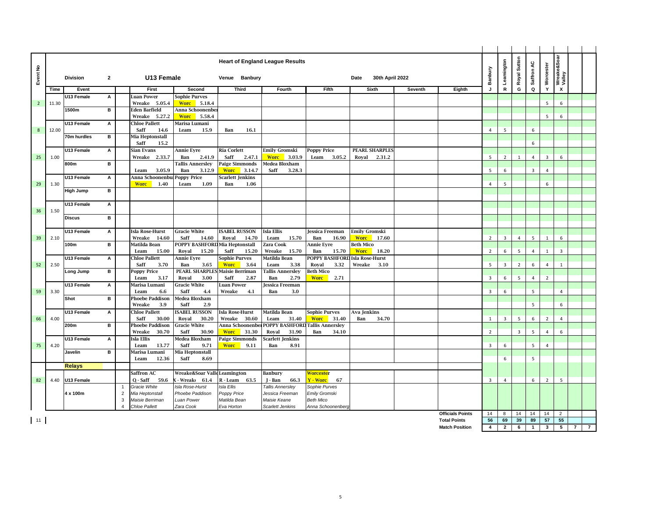| Wreake&Soar<br>Valley<br>Royal Sutton<br><b>Heart of England League Results</b><br>Leamington<br>Saffron AC<br>Worcester<br>$\hat{\mathbf{z}}$<br>Banbury<br>Event<br>$\overline{2}$<br>U13 Female<br>Venue Banbury<br>30th April 2022<br><b>Division</b><br>Date<br>$\mathsf{R}$<br>G<br>Q<br>Y<br>X<br>First<br>Second<br><b>Third</b><br>Fifth<br>Sixth<br>$\mathbf{I}$<br>Time<br>Event<br>Fourth<br>Seventh<br>Eighth<br>U13 Female<br><b>Luan Power</b><br>Sophie Purves<br>А<br>Wreake 5.05.4<br><b>Worc</b> 5.18.4<br>5<br>6<br>$\overline{2}$<br>11.30<br>1500m<br>в<br>Anna Schoonenber<br><b>Eden Barfield</b><br><b>Worc</b><br>Wreake 5.27.2<br>5.58.4<br>5<br>6<br><b>Chloe Pallett</b><br>U13 Female<br>А<br>Marisa Lumani<br>$\bf 8$<br>12.00<br>Saff<br>14.6<br>Leam<br>5<br>6<br>15.9<br>Ban<br>16.1<br>4<br>Mia Heptonstall<br>70m hurdles<br>в<br>Saff<br>15.2<br>6<br>U13 Female<br>A<br><b>Sian Evans</b><br><b>Annie Eyre</b><br><b>Ria Corlett</b><br>Emily Gromski<br><b>Poppy Price</b><br>PEARL SHARPLES<br>2.33.7<br>25<br>1.00<br>Wreake<br>Ban<br>2.41.9<br>Saff<br>2.47.1<br><b>Worc</b><br>3.03.9<br>Leam<br>3.05.2<br>Royal<br>2.31.2<br>$5\overline{5}$<br>$\overline{2}$<br>$\overline{4}$<br>$\overline{3}$<br>6<br>1<br>в<br>Medea Bloxham<br>800m<br><b>Fallis Annersley</b><br><b>Paige Simmonds</b><br>3.05.9<br>Ban<br>3.12.9<br>Saff<br>3.28.3<br>$5^{\circ}$<br>$\overline{3}$<br>Leam<br><b>Worc</b><br>3.14.7<br>6<br>$\overline{4}$<br>U13 Female<br>Poppy Price<br>Scarlett Jenkins<br>Anna Schoonenbur<br>Α<br>1.40<br>29<br>1.30<br><b>Worc</b><br>Leam<br>1.09<br>Ban<br>1.06<br>5<br>6<br>$\overline{4}$<br><b>High Jump</b><br>в<br>U13 Female<br>A<br>36<br>1.50<br>в<br><b>Discus</b><br>U13 Female<br><b>Isla Rose-Hurst</b><br><b>Gracie White</b><br><b>ISABEL RUSSON</b><br><b>Isla Ellis</b><br>Emily Gromski<br>A<br>Jessica Freeman<br>15.70<br><b>Worc</b><br>39<br>2.10<br>Wreake<br>14.60<br>Saff<br>14.60<br>Royal<br>14.70<br>Leam<br>Ban<br>16.90<br>17.60<br>$\overline{2}$<br>$\overline{3}$<br>$\overline{4}$<br>5<br>1<br>6<br>100m<br>в<br>Matilda Bean<br>POPPY BASHFORD Mia Heptonstall<br>Zara Cook<br><b>Annie Eyre</b><br><b>Beth Mico</b><br>Leam<br>15.00<br>Royal<br>15.20<br>Saff<br>15.20<br>Wreake<br>15.70<br>Ban<br><b>Worc</b><br>18.20<br>$\overline{2}$<br>$\overline{4}$<br>$\overline{\mathbf{3}}$<br>15.70<br>6<br>5<br>$\mathbf{1}$<br><b>POPPY BASHFORD</b><br>Isla Rose-Hurst<br>U13 Female<br>А<br><b>Chloe Pallett</b><br><b>Annie Eyre</b><br>ophie Purves<br>Matilda Bean<br>52<br>2.50<br>Saff<br>Wreake<br>5<br>$\overline{\mathbf{3}}$<br>$\overline{2}$<br>6<br>3.70<br>Ban<br>3.65<br><b>Worc</b><br>3.64<br>Leam<br>3.38<br>Royal<br>3.32<br>3.10<br>4<br>$\mathbf{1}$<br>в<br><b>Poppy Price</b><br><b>PEARL SHARPLES</b><br>Maisie Berriman<br><b>Tallis Annerslev</b><br>Beth Mico<br>Long Jump<br>Leam<br>3.17<br>Royal<br>3.00<br>Saff<br>2.87<br>Ban<br>2.79<br><b>Worc</b><br>2.71<br>3<br>6<br>5<br>$\overline{4}$<br>$\overline{2}$<br>U13 Female<br>Marisa Lumani<br><b>Gracie White</b><br>Α<br>Luan Power<br>Jessica Freeman<br>5<br>3.30<br>Saff<br>Wreake<br>4.1<br>$\overline{3}$<br>6<br>59<br>Leam<br>6.6<br>4.4<br>Ban<br>3.0<br>$\overline{4}$<br>в<br><b>Phoebe Paddison</b><br>Medea Bloxham<br>Shot<br>5<br>Wreake<br>3.9<br>Saff<br>2.9<br>6<br><b>SABEL RUSSON</b><br>U13 Female<br>A<br><b>Chloe Pallett</b><br><b>Isla Rose-Hurst</b><br>Matilda Bean<br>Sophie Purves<br>Ava Jenkins<br>4.00<br>Saff<br>30.00<br>Royal<br>30.20<br>Wreake<br>30.60<br>31.40<br><b>Worc</b><br>31.40<br>34.70<br>$\overline{3}$<br>5<br>6<br>$\overline{2}$<br>66<br>Leam<br>Ban<br>1<br>$\overline{4}$<br>в<br><b>Phoebe Paddison</b><br>POPPY BASHFORI<br><b>Tallis Annersley</b><br>200m<br>Gracie White<br>Anna Schoonenbe<br>$\overline{2}$<br>Wreake<br>30.70<br>Saff<br>30.90<br><b>Worc</b><br>31.30<br>Royal<br>31.90<br>34.10<br>$\overline{3}$<br>5<br>6<br>Ban<br>4<br><b>Isla Ellis</b><br>Medea Bloxham<br>U13 Female<br>A<br><b>Paige Simmonds</b><br>Scarlett Jenkins<br>75<br>4.20<br>13.77<br>Saff<br>9.71<br><b>Worc</b><br>9.11<br>8.91<br>$\overline{3}$<br>6<br>5<br>$\overline{4}$<br>Leam<br>Ban<br>в<br>Javelin<br>Marisa Lumani<br>Mia Heptonstall<br>12.36<br>Saff<br>6<br>5<br>Leam<br>8.69<br><b>Relays</b><br>Saffron AC<br>Wreake&Soar ValleLeamington<br><mark>Worceste</mark> r<br>Banbury<br>59.6<br>6<br>$\overline{2}$<br>$5\phantom{.0}$<br>4.40<br>U13 Female<br>Q - Saff<br>- Wreak<br>61.4<br>R-Leam 63.5<br>66.3<br>Y - Worc<br>67<br>$\overline{\mathbf{3}}$<br>$\overline{4}$<br>82<br>J - Ban<br>Gracie White<br>Isla Rose-Hurst<br>Isla Ellis<br><b>Tallis Annersley</b><br>Sophie Purves<br>$\overline{1}$<br>4 x 100m<br>Mia Heptonstall<br>Phoebe Paddison<br>Emily Gromski<br>$\overline{2}$<br>Poppy Price<br>Jessica Freeman<br>3<br>Maisie Berriman<br>Luan Power<br>Matilda Bean<br>Maisie Keane<br><b>Beth Mico</b><br><b>Chloe Pallett</b><br>Zara Cook<br>$\Delta$<br>Eva Horton<br><b>Scarlett Jenkins</b><br>Anna Schoonenberg<br><b>Officials Points</b><br>14<br>14<br>14<br>8<br>14<br>$\overline{2}$<br>39<br>55<br>11<br>56<br>69<br>89<br>57<br><b>Total Points</b><br>$\overline{\mathbf{4}}$<br>$\overline{2}$<br>6<br>$\mathbf{3}$<br>$5\overline{5}$<br>$\overline{7}$<br><b>Match Position</b><br>$\mathbf{1}$ |  |  |  |  |  |  |  |  |  |  |                |
|-------------------------------------------------------------------------------------------------------------------------------------------------------------------------------------------------------------------------------------------------------------------------------------------------------------------------------------------------------------------------------------------------------------------------------------------------------------------------------------------------------------------------------------------------------------------------------------------------------------------------------------------------------------------------------------------------------------------------------------------------------------------------------------------------------------------------------------------------------------------------------------------------------------------------------------------------------------------------------------------------------------------------------------------------------------------------------------------------------------------------------------------------------------------------------------------------------------------------------------------------------------------------------------------------------------------------------------------------------------------------------------------------------------------------------------------------------------------------------------------------------------------------------------------------------------------------------------------------------------------------------------------------------------------------------------------------------------------------------------------------------------------------------------------------------------------------------------------------------------------------------------------------------------------------------------------------------------------------------------------------------------------------------------------------------------------------------------------------------------------------------------------------------------------------------------------------------------------------------------------------------------------------------------------------------------------------------------------------------------------------------------------------------------------------------------------------------------------------------------------------------------------------------------------------------------------------------------------------------------------------------------------------------------------------------------------------------------------------------------------------------------------------------------------------------------------------------------------------------------------------------------------------------------------------------------------------------------------------------------------------------------------------------------------------------------------------------------------------------------------------------------------------------------------------------------------------------------------------------------------------------------------------------------------------------------------------------------------------------------------------------------------------------------------------------------------------------------------------------------------------------------------------------------------------------------------------------------------------------------------------------------------------------------------------------------------------------------------------------------------------------------------------------------------------------------------------------------------------------------------------------------------------------------------------------------------------------------------------------------------------------------------------------------------------------------------------------------------------------------------------------------------------------------------------------------------------------------------------------------------------------------------------------------------------------------------------------------------------------------------------------------------------------------------------------------------------------------------------------------------------------------------------------------------------------------------------------------------------------------------------------------------------------------------------------------------------------------------------------------------------------------------------------------------------------------------------------------------------------------------------------------------------------------------------------------------------------------------------------------------------------------------------------------------------------------------------------------------------------------------------------------------------------------------------------------------------------------------------------------------------------------------------------------------------------------------------------------------------------------------------------------------------------|--|--|--|--|--|--|--|--|--|--|----------------|
|                                                                                                                                                                                                                                                                                                                                                                                                                                                                                                                                                                                                                                                                                                                                                                                                                                                                                                                                                                                                                                                                                                                                                                                                                                                                                                                                                                                                                                                                                                                                                                                                                                                                                                                                                                                                                                                                                                                                                                                                                                                                                                                                                                                                                                                                                                                                                                                                                                                                                                                                                                                                                                                                                                                                                                                                                                                                                                                                                                                                                                                                                                                                                                                                                                                                                                                                                                                                                                                                                                                                                                                                                                                                                                                                                                                                                                                                                                                                                                                                                                                                                                                                                                                                                                                                                                                                                                                                                                                                                                                                                                                                                                                                                                                                                                                                                                                                                                                                                                                                                                                                                                                                                                                                                                                                                                                                                                                                       |  |  |  |  |  |  |  |  |  |  |                |
|                                                                                                                                                                                                                                                                                                                                                                                                                                                                                                                                                                                                                                                                                                                                                                                                                                                                                                                                                                                                                                                                                                                                                                                                                                                                                                                                                                                                                                                                                                                                                                                                                                                                                                                                                                                                                                                                                                                                                                                                                                                                                                                                                                                                                                                                                                                                                                                                                                                                                                                                                                                                                                                                                                                                                                                                                                                                                                                                                                                                                                                                                                                                                                                                                                                                                                                                                                                                                                                                                                                                                                                                                                                                                                                                                                                                                                                                                                                                                                                                                                                                                                                                                                                                                                                                                                                                                                                                                                                                                                                                                                                                                                                                                                                                                                                                                                                                                                                                                                                                                                                                                                                                                                                                                                                                                                                                                                                                       |  |  |  |  |  |  |  |  |  |  |                |
|                                                                                                                                                                                                                                                                                                                                                                                                                                                                                                                                                                                                                                                                                                                                                                                                                                                                                                                                                                                                                                                                                                                                                                                                                                                                                                                                                                                                                                                                                                                                                                                                                                                                                                                                                                                                                                                                                                                                                                                                                                                                                                                                                                                                                                                                                                                                                                                                                                                                                                                                                                                                                                                                                                                                                                                                                                                                                                                                                                                                                                                                                                                                                                                                                                                                                                                                                                                                                                                                                                                                                                                                                                                                                                                                                                                                                                                                                                                                                                                                                                                                                                                                                                                                                                                                                                                                                                                                                                                                                                                                                                                                                                                                                                                                                                                                                                                                                                                                                                                                                                                                                                                                                                                                                                                                                                                                                                                                       |  |  |  |  |  |  |  |  |  |  |                |
|                                                                                                                                                                                                                                                                                                                                                                                                                                                                                                                                                                                                                                                                                                                                                                                                                                                                                                                                                                                                                                                                                                                                                                                                                                                                                                                                                                                                                                                                                                                                                                                                                                                                                                                                                                                                                                                                                                                                                                                                                                                                                                                                                                                                                                                                                                                                                                                                                                                                                                                                                                                                                                                                                                                                                                                                                                                                                                                                                                                                                                                                                                                                                                                                                                                                                                                                                                                                                                                                                                                                                                                                                                                                                                                                                                                                                                                                                                                                                                                                                                                                                                                                                                                                                                                                                                                                                                                                                                                                                                                                                                                                                                                                                                                                                                                                                                                                                                                                                                                                                                                                                                                                                                                                                                                                                                                                                                                                       |  |  |  |  |  |  |  |  |  |  |                |
|                                                                                                                                                                                                                                                                                                                                                                                                                                                                                                                                                                                                                                                                                                                                                                                                                                                                                                                                                                                                                                                                                                                                                                                                                                                                                                                                                                                                                                                                                                                                                                                                                                                                                                                                                                                                                                                                                                                                                                                                                                                                                                                                                                                                                                                                                                                                                                                                                                                                                                                                                                                                                                                                                                                                                                                                                                                                                                                                                                                                                                                                                                                                                                                                                                                                                                                                                                                                                                                                                                                                                                                                                                                                                                                                                                                                                                                                                                                                                                                                                                                                                                                                                                                                                                                                                                                                                                                                                                                                                                                                                                                                                                                                                                                                                                                                                                                                                                                                                                                                                                                                                                                                                                                                                                                                                                                                                                                                       |  |  |  |  |  |  |  |  |  |  |                |
|                                                                                                                                                                                                                                                                                                                                                                                                                                                                                                                                                                                                                                                                                                                                                                                                                                                                                                                                                                                                                                                                                                                                                                                                                                                                                                                                                                                                                                                                                                                                                                                                                                                                                                                                                                                                                                                                                                                                                                                                                                                                                                                                                                                                                                                                                                                                                                                                                                                                                                                                                                                                                                                                                                                                                                                                                                                                                                                                                                                                                                                                                                                                                                                                                                                                                                                                                                                                                                                                                                                                                                                                                                                                                                                                                                                                                                                                                                                                                                                                                                                                                                                                                                                                                                                                                                                                                                                                                                                                                                                                                                                                                                                                                                                                                                                                                                                                                                                                                                                                                                                                                                                                                                                                                                                                                                                                                                                                       |  |  |  |  |  |  |  |  |  |  |                |
|                                                                                                                                                                                                                                                                                                                                                                                                                                                                                                                                                                                                                                                                                                                                                                                                                                                                                                                                                                                                                                                                                                                                                                                                                                                                                                                                                                                                                                                                                                                                                                                                                                                                                                                                                                                                                                                                                                                                                                                                                                                                                                                                                                                                                                                                                                                                                                                                                                                                                                                                                                                                                                                                                                                                                                                                                                                                                                                                                                                                                                                                                                                                                                                                                                                                                                                                                                                                                                                                                                                                                                                                                                                                                                                                                                                                                                                                                                                                                                                                                                                                                                                                                                                                                                                                                                                                                                                                                                                                                                                                                                                                                                                                                                                                                                                                                                                                                                                                                                                                                                                                                                                                                                                                                                                                                                                                                                                                       |  |  |  |  |  |  |  |  |  |  |                |
|                                                                                                                                                                                                                                                                                                                                                                                                                                                                                                                                                                                                                                                                                                                                                                                                                                                                                                                                                                                                                                                                                                                                                                                                                                                                                                                                                                                                                                                                                                                                                                                                                                                                                                                                                                                                                                                                                                                                                                                                                                                                                                                                                                                                                                                                                                                                                                                                                                                                                                                                                                                                                                                                                                                                                                                                                                                                                                                                                                                                                                                                                                                                                                                                                                                                                                                                                                                                                                                                                                                                                                                                                                                                                                                                                                                                                                                                                                                                                                                                                                                                                                                                                                                                                                                                                                                                                                                                                                                                                                                                                                                                                                                                                                                                                                                                                                                                                                                                                                                                                                                                                                                                                                                                                                                                                                                                                                                                       |  |  |  |  |  |  |  |  |  |  |                |
|                                                                                                                                                                                                                                                                                                                                                                                                                                                                                                                                                                                                                                                                                                                                                                                                                                                                                                                                                                                                                                                                                                                                                                                                                                                                                                                                                                                                                                                                                                                                                                                                                                                                                                                                                                                                                                                                                                                                                                                                                                                                                                                                                                                                                                                                                                                                                                                                                                                                                                                                                                                                                                                                                                                                                                                                                                                                                                                                                                                                                                                                                                                                                                                                                                                                                                                                                                                                                                                                                                                                                                                                                                                                                                                                                                                                                                                                                                                                                                                                                                                                                                                                                                                                                                                                                                                                                                                                                                                                                                                                                                                                                                                                                                                                                                                                                                                                                                                                                                                                                                                                                                                                                                                                                                                                                                                                                                                                       |  |  |  |  |  |  |  |  |  |  |                |
|                                                                                                                                                                                                                                                                                                                                                                                                                                                                                                                                                                                                                                                                                                                                                                                                                                                                                                                                                                                                                                                                                                                                                                                                                                                                                                                                                                                                                                                                                                                                                                                                                                                                                                                                                                                                                                                                                                                                                                                                                                                                                                                                                                                                                                                                                                                                                                                                                                                                                                                                                                                                                                                                                                                                                                                                                                                                                                                                                                                                                                                                                                                                                                                                                                                                                                                                                                                                                                                                                                                                                                                                                                                                                                                                                                                                                                                                                                                                                                                                                                                                                                                                                                                                                                                                                                                                                                                                                                                                                                                                                                                                                                                                                                                                                                                                                                                                                                                                                                                                                                                                                                                                                                                                                                                                                                                                                                                                       |  |  |  |  |  |  |  |  |  |  |                |
|                                                                                                                                                                                                                                                                                                                                                                                                                                                                                                                                                                                                                                                                                                                                                                                                                                                                                                                                                                                                                                                                                                                                                                                                                                                                                                                                                                                                                                                                                                                                                                                                                                                                                                                                                                                                                                                                                                                                                                                                                                                                                                                                                                                                                                                                                                                                                                                                                                                                                                                                                                                                                                                                                                                                                                                                                                                                                                                                                                                                                                                                                                                                                                                                                                                                                                                                                                                                                                                                                                                                                                                                                                                                                                                                                                                                                                                                                                                                                                                                                                                                                                                                                                                                                                                                                                                                                                                                                                                                                                                                                                                                                                                                                                                                                                                                                                                                                                                                                                                                                                                                                                                                                                                                                                                                                                                                                                                                       |  |  |  |  |  |  |  |  |  |  |                |
|                                                                                                                                                                                                                                                                                                                                                                                                                                                                                                                                                                                                                                                                                                                                                                                                                                                                                                                                                                                                                                                                                                                                                                                                                                                                                                                                                                                                                                                                                                                                                                                                                                                                                                                                                                                                                                                                                                                                                                                                                                                                                                                                                                                                                                                                                                                                                                                                                                                                                                                                                                                                                                                                                                                                                                                                                                                                                                                                                                                                                                                                                                                                                                                                                                                                                                                                                                                                                                                                                                                                                                                                                                                                                                                                                                                                                                                                                                                                                                                                                                                                                                                                                                                                                                                                                                                                                                                                                                                                                                                                                                                                                                                                                                                                                                                                                                                                                                                                                                                                                                                                                                                                                                                                                                                                                                                                                                                                       |  |  |  |  |  |  |  |  |  |  |                |
|                                                                                                                                                                                                                                                                                                                                                                                                                                                                                                                                                                                                                                                                                                                                                                                                                                                                                                                                                                                                                                                                                                                                                                                                                                                                                                                                                                                                                                                                                                                                                                                                                                                                                                                                                                                                                                                                                                                                                                                                                                                                                                                                                                                                                                                                                                                                                                                                                                                                                                                                                                                                                                                                                                                                                                                                                                                                                                                                                                                                                                                                                                                                                                                                                                                                                                                                                                                                                                                                                                                                                                                                                                                                                                                                                                                                                                                                                                                                                                                                                                                                                                                                                                                                                                                                                                                                                                                                                                                                                                                                                                                                                                                                                                                                                                                                                                                                                                                                                                                                                                                                                                                                                                                                                                                                                                                                                                                                       |  |  |  |  |  |  |  |  |  |  |                |
|                                                                                                                                                                                                                                                                                                                                                                                                                                                                                                                                                                                                                                                                                                                                                                                                                                                                                                                                                                                                                                                                                                                                                                                                                                                                                                                                                                                                                                                                                                                                                                                                                                                                                                                                                                                                                                                                                                                                                                                                                                                                                                                                                                                                                                                                                                                                                                                                                                                                                                                                                                                                                                                                                                                                                                                                                                                                                                                                                                                                                                                                                                                                                                                                                                                                                                                                                                                                                                                                                                                                                                                                                                                                                                                                                                                                                                                                                                                                                                                                                                                                                                                                                                                                                                                                                                                                                                                                                                                                                                                                                                                                                                                                                                                                                                                                                                                                                                                                                                                                                                                                                                                                                                                                                                                                                                                                                                                                       |  |  |  |  |  |  |  |  |  |  |                |
|                                                                                                                                                                                                                                                                                                                                                                                                                                                                                                                                                                                                                                                                                                                                                                                                                                                                                                                                                                                                                                                                                                                                                                                                                                                                                                                                                                                                                                                                                                                                                                                                                                                                                                                                                                                                                                                                                                                                                                                                                                                                                                                                                                                                                                                                                                                                                                                                                                                                                                                                                                                                                                                                                                                                                                                                                                                                                                                                                                                                                                                                                                                                                                                                                                                                                                                                                                                                                                                                                                                                                                                                                                                                                                                                                                                                                                                                                                                                                                                                                                                                                                                                                                                                                                                                                                                                                                                                                                                                                                                                                                                                                                                                                                                                                                                                                                                                                                                                                                                                                                                                                                                                                                                                                                                                                                                                                                                                       |  |  |  |  |  |  |  |  |  |  |                |
|                                                                                                                                                                                                                                                                                                                                                                                                                                                                                                                                                                                                                                                                                                                                                                                                                                                                                                                                                                                                                                                                                                                                                                                                                                                                                                                                                                                                                                                                                                                                                                                                                                                                                                                                                                                                                                                                                                                                                                                                                                                                                                                                                                                                                                                                                                                                                                                                                                                                                                                                                                                                                                                                                                                                                                                                                                                                                                                                                                                                                                                                                                                                                                                                                                                                                                                                                                                                                                                                                                                                                                                                                                                                                                                                                                                                                                                                                                                                                                                                                                                                                                                                                                                                                                                                                                                                                                                                                                                                                                                                                                                                                                                                                                                                                                                                                                                                                                                                                                                                                                                                                                                                                                                                                                                                                                                                                                                                       |  |  |  |  |  |  |  |  |  |  |                |
|                                                                                                                                                                                                                                                                                                                                                                                                                                                                                                                                                                                                                                                                                                                                                                                                                                                                                                                                                                                                                                                                                                                                                                                                                                                                                                                                                                                                                                                                                                                                                                                                                                                                                                                                                                                                                                                                                                                                                                                                                                                                                                                                                                                                                                                                                                                                                                                                                                                                                                                                                                                                                                                                                                                                                                                                                                                                                                                                                                                                                                                                                                                                                                                                                                                                                                                                                                                                                                                                                                                                                                                                                                                                                                                                                                                                                                                                                                                                                                                                                                                                                                                                                                                                                                                                                                                                                                                                                                                                                                                                                                                                                                                                                                                                                                                                                                                                                                                                                                                                                                                                                                                                                                                                                                                                                                                                                                                                       |  |  |  |  |  |  |  |  |  |  |                |
|                                                                                                                                                                                                                                                                                                                                                                                                                                                                                                                                                                                                                                                                                                                                                                                                                                                                                                                                                                                                                                                                                                                                                                                                                                                                                                                                                                                                                                                                                                                                                                                                                                                                                                                                                                                                                                                                                                                                                                                                                                                                                                                                                                                                                                                                                                                                                                                                                                                                                                                                                                                                                                                                                                                                                                                                                                                                                                                                                                                                                                                                                                                                                                                                                                                                                                                                                                                                                                                                                                                                                                                                                                                                                                                                                                                                                                                                                                                                                                                                                                                                                                                                                                                                                                                                                                                                                                                                                                                                                                                                                                                                                                                                                                                                                                                                                                                                                                                                                                                                                                                                                                                                                                                                                                                                                                                                                                                                       |  |  |  |  |  |  |  |  |  |  |                |
|                                                                                                                                                                                                                                                                                                                                                                                                                                                                                                                                                                                                                                                                                                                                                                                                                                                                                                                                                                                                                                                                                                                                                                                                                                                                                                                                                                                                                                                                                                                                                                                                                                                                                                                                                                                                                                                                                                                                                                                                                                                                                                                                                                                                                                                                                                                                                                                                                                                                                                                                                                                                                                                                                                                                                                                                                                                                                                                                                                                                                                                                                                                                                                                                                                                                                                                                                                                                                                                                                                                                                                                                                                                                                                                                                                                                                                                                                                                                                                                                                                                                                                                                                                                                                                                                                                                                                                                                                                                                                                                                                                                                                                                                                                                                                                                                                                                                                                                                                                                                                                                                                                                                                                                                                                                                                                                                                                                                       |  |  |  |  |  |  |  |  |  |  |                |
|                                                                                                                                                                                                                                                                                                                                                                                                                                                                                                                                                                                                                                                                                                                                                                                                                                                                                                                                                                                                                                                                                                                                                                                                                                                                                                                                                                                                                                                                                                                                                                                                                                                                                                                                                                                                                                                                                                                                                                                                                                                                                                                                                                                                                                                                                                                                                                                                                                                                                                                                                                                                                                                                                                                                                                                                                                                                                                                                                                                                                                                                                                                                                                                                                                                                                                                                                                                                                                                                                                                                                                                                                                                                                                                                                                                                                                                                                                                                                                                                                                                                                                                                                                                                                                                                                                                                                                                                                                                                                                                                                                                                                                                                                                                                                                                                                                                                                                                                                                                                                                                                                                                                                                                                                                                                                                                                                                                                       |  |  |  |  |  |  |  |  |  |  |                |
|                                                                                                                                                                                                                                                                                                                                                                                                                                                                                                                                                                                                                                                                                                                                                                                                                                                                                                                                                                                                                                                                                                                                                                                                                                                                                                                                                                                                                                                                                                                                                                                                                                                                                                                                                                                                                                                                                                                                                                                                                                                                                                                                                                                                                                                                                                                                                                                                                                                                                                                                                                                                                                                                                                                                                                                                                                                                                                                                                                                                                                                                                                                                                                                                                                                                                                                                                                                                                                                                                                                                                                                                                                                                                                                                                                                                                                                                                                                                                                                                                                                                                                                                                                                                                                                                                                                                                                                                                                                                                                                                                                                                                                                                                                                                                                                                                                                                                                                                                                                                                                                                                                                                                                                                                                                                                                                                                                                                       |  |  |  |  |  |  |  |  |  |  |                |
|                                                                                                                                                                                                                                                                                                                                                                                                                                                                                                                                                                                                                                                                                                                                                                                                                                                                                                                                                                                                                                                                                                                                                                                                                                                                                                                                                                                                                                                                                                                                                                                                                                                                                                                                                                                                                                                                                                                                                                                                                                                                                                                                                                                                                                                                                                                                                                                                                                                                                                                                                                                                                                                                                                                                                                                                                                                                                                                                                                                                                                                                                                                                                                                                                                                                                                                                                                                                                                                                                                                                                                                                                                                                                                                                                                                                                                                                                                                                                                                                                                                                                                                                                                                                                                                                                                                                                                                                                                                                                                                                                                                                                                                                                                                                                                                                                                                                                                                                                                                                                                                                                                                                                                                                                                                                                                                                                                                                       |  |  |  |  |  |  |  |  |  |  |                |
|                                                                                                                                                                                                                                                                                                                                                                                                                                                                                                                                                                                                                                                                                                                                                                                                                                                                                                                                                                                                                                                                                                                                                                                                                                                                                                                                                                                                                                                                                                                                                                                                                                                                                                                                                                                                                                                                                                                                                                                                                                                                                                                                                                                                                                                                                                                                                                                                                                                                                                                                                                                                                                                                                                                                                                                                                                                                                                                                                                                                                                                                                                                                                                                                                                                                                                                                                                                                                                                                                                                                                                                                                                                                                                                                                                                                                                                                                                                                                                                                                                                                                                                                                                                                                                                                                                                                                                                                                                                                                                                                                                                                                                                                                                                                                                                                                                                                                                                                                                                                                                                                                                                                                                                                                                                                                                                                                                                                       |  |  |  |  |  |  |  |  |  |  |                |
|                                                                                                                                                                                                                                                                                                                                                                                                                                                                                                                                                                                                                                                                                                                                                                                                                                                                                                                                                                                                                                                                                                                                                                                                                                                                                                                                                                                                                                                                                                                                                                                                                                                                                                                                                                                                                                                                                                                                                                                                                                                                                                                                                                                                                                                                                                                                                                                                                                                                                                                                                                                                                                                                                                                                                                                                                                                                                                                                                                                                                                                                                                                                                                                                                                                                                                                                                                                                                                                                                                                                                                                                                                                                                                                                                                                                                                                                                                                                                                                                                                                                                                                                                                                                                                                                                                                                                                                                                                                                                                                                                                                                                                                                                                                                                                                                                                                                                                                                                                                                                                                                                                                                                                                                                                                                                                                                                                                                       |  |  |  |  |  |  |  |  |  |  |                |
|                                                                                                                                                                                                                                                                                                                                                                                                                                                                                                                                                                                                                                                                                                                                                                                                                                                                                                                                                                                                                                                                                                                                                                                                                                                                                                                                                                                                                                                                                                                                                                                                                                                                                                                                                                                                                                                                                                                                                                                                                                                                                                                                                                                                                                                                                                                                                                                                                                                                                                                                                                                                                                                                                                                                                                                                                                                                                                                                                                                                                                                                                                                                                                                                                                                                                                                                                                                                                                                                                                                                                                                                                                                                                                                                                                                                                                                                                                                                                                                                                                                                                                                                                                                                                                                                                                                                                                                                                                                                                                                                                                                                                                                                                                                                                                                                                                                                                                                                                                                                                                                                                                                                                                                                                                                                                                                                                                                                       |  |  |  |  |  |  |  |  |  |  |                |
|                                                                                                                                                                                                                                                                                                                                                                                                                                                                                                                                                                                                                                                                                                                                                                                                                                                                                                                                                                                                                                                                                                                                                                                                                                                                                                                                                                                                                                                                                                                                                                                                                                                                                                                                                                                                                                                                                                                                                                                                                                                                                                                                                                                                                                                                                                                                                                                                                                                                                                                                                                                                                                                                                                                                                                                                                                                                                                                                                                                                                                                                                                                                                                                                                                                                                                                                                                                                                                                                                                                                                                                                                                                                                                                                                                                                                                                                                                                                                                                                                                                                                                                                                                                                                                                                                                                                                                                                                                                                                                                                                                                                                                                                                                                                                                                                                                                                                                                                                                                                                                                                                                                                                                                                                                                                                                                                                                                                       |  |  |  |  |  |  |  |  |  |  |                |
|                                                                                                                                                                                                                                                                                                                                                                                                                                                                                                                                                                                                                                                                                                                                                                                                                                                                                                                                                                                                                                                                                                                                                                                                                                                                                                                                                                                                                                                                                                                                                                                                                                                                                                                                                                                                                                                                                                                                                                                                                                                                                                                                                                                                                                                                                                                                                                                                                                                                                                                                                                                                                                                                                                                                                                                                                                                                                                                                                                                                                                                                                                                                                                                                                                                                                                                                                                                                                                                                                                                                                                                                                                                                                                                                                                                                                                                                                                                                                                                                                                                                                                                                                                                                                                                                                                                                                                                                                                                                                                                                                                                                                                                                                                                                                                                                                                                                                                                                                                                                                                                                                                                                                                                                                                                                                                                                                                                                       |  |  |  |  |  |  |  |  |  |  |                |
|                                                                                                                                                                                                                                                                                                                                                                                                                                                                                                                                                                                                                                                                                                                                                                                                                                                                                                                                                                                                                                                                                                                                                                                                                                                                                                                                                                                                                                                                                                                                                                                                                                                                                                                                                                                                                                                                                                                                                                                                                                                                                                                                                                                                                                                                                                                                                                                                                                                                                                                                                                                                                                                                                                                                                                                                                                                                                                                                                                                                                                                                                                                                                                                                                                                                                                                                                                                                                                                                                                                                                                                                                                                                                                                                                                                                                                                                                                                                                                                                                                                                                                                                                                                                                                                                                                                                                                                                                                                                                                                                                                                                                                                                                                                                                                                                                                                                                                                                                                                                                                                                                                                                                                                                                                                                                                                                                                                                       |  |  |  |  |  |  |  |  |  |  |                |
|                                                                                                                                                                                                                                                                                                                                                                                                                                                                                                                                                                                                                                                                                                                                                                                                                                                                                                                                                                                                                                                                                                                                                                                                                                                                                                                                                                                                                                                                                                                                                                                                                                                                                                                                                                                                                                                                                                                                                                                                                                                                                                                                                                                                                                                                                                                                                                                                                                                                                                                                                                                                                                                                                                                                                                                                                                                                                                                                                                                                                                                                                                                                                                                                                                                                                                                                                                                                                                                                                                                                                                                                                                                                                                                                                                                                                                                                                                                                                                                                                                                                                                                                                                                                                                                                                                                                                                                                                                                                                                                                                                                                                                                                                                                                                                                                                                                                                                                                                                                                                                                                                                                                                                                                                                                                                                                                                                                                       |  |  |  |  |  |  |  |  |  |  |                |
|                                                                                                                                                                                                                                                                                                                                                                                                                                                                                                                                                                                                                                                                                                                                                                                                                                                                                                                                                                                                                                                                                                                                                                                                                                                                                                                                                                                                                                                                                                                                                                                                                                                                                                                                                                                                                                                                                                                                                                                                                                                                                                                                                                                                                                                                                                                                                                                                                                                                                                                                                                                                                                                                                                                                                                                                                                                                                                                                                                                                                                                                                                                                                                                                                                                                                                                                                                                                                                                                                                                                                                                                                                                                                                                                                                                                                                                                                                                                                                                                                                                                                                                                                                                                                                                                                                                                                                                                                                                                                                                                                                                                                                                                                                                                                                                                                                                                                                                                                                                                                                                                                                                                                                                                                                                                                                                                                                                                       |  |  |  |  |  |  |  |  |  |  |                |
|                                                                                                                                                                                                                                                                                                                                                                                                                                                                                                                                                                                                                                                                                                                                                                                                                                                                                                                                                                                                                                                                                                                                                                                                                                                                                                                                                                                                                                                                                                                                                                                                                                                                                                                                                                                                                                                                                                                                                                                                                                                                                                                                                                                                                                                                                                                                                                                                                                                                                                                                                                                                                                                                                                                                                                                                                                                                                                                                                                                                                                                                                                                                                                                                                                                                                                                                                                                                                                                                                                                                                                                                                                                                                                                                                                                                                                                                                                                                                                                                                                                                                                                                                                                                                                                                                                                                                                                                                                                                                                                                                                                                                                                                                                                                                                                                                                                                                                                                                                                                                                                                                                                                                                                                                                                                                                                                                                                                       |  |  |  |  |  |  |  |  |  |  |                |
|                                                                                                                                                                                                                                                                                                                                                                                                                                                                                                                                                                                                                                                                                                                                                                                                                                                                                                                                                                                                                                                                                                                                                                                                                                                                                                                                                                                                                                                                                                                                                                                                                                                                                                                                                                                                                                                                                                                                                                                                                                                                                                                                                                                                                                                                                                                                                                                                                                                                                                                                                                                                                                                                                                                                                                                                                                                                                                                                                                                                                                                                                                                                                                                                                                                                                                                                                                                                                                                                                                                                                                                                                                                                                                                                                                                                                                                                                                                                                                                                                                                                                                                                                                                                                                                                                                                                                                                                                                                                                                                                                                                                                                                                                                                                                                                                                                                                                                                                                                                                                                                                                                                                                                                                                                                                                                                                                                                                       |  |  |  |  |  |  |  |  |  |  |                |
|                                                                                                                                                                                                                                                                                                                                                                                                                                                                                                                                                                                                                                                                                                                                                                                                                                                                                                                                                                                                                                                                                                                                                                                                                                                                                                                                                                                                                                                                                                                                                                                                                                                                                                                                                                                                                                                                                                                                                                                                                                                                                                                                                                                                                                                                                                                                                                                                                                                                                                                                                                                                                                                                                                                                                                                                                                                                                                                                                                                                                                                                                                                                                                                                                                                                                                                                                                                                                                                                                                                                                                                                                                                                                                                                                                                                                                                                                                                                                                                                                                                                                                                                                                                                                                                                                                                                                                                                                                                                                                                                                                                                                                                                                                                                                                                                                                                                                                                                                                                                                                                                                                                                                                                                                                                                                                                                                                                                       |  |  |  |  |  |  |  |  |  |  |                |
|                                                                                                                                                                                                                                                                                                                                                                                                                                                                                                                                                                                                                                                                                                                                                                                                                                                                                                                                                                                                                                                                                                                                                                                                                                                                                                                                                                                                                                                                                                                                                                                                                                                                                                                                                                                                                                                                                                                                                                                                                                                                                                                                                                                                                                                                                                                                                                                                                                                                                                                                                                                                                                                                                                                                                                                                                                                                                                                                                                                                                                                                                                                                                                                                                                                                                                                                                                                                                                                                                                                                                                                                                                                                                                                                                                                                                                                                                                                                                                                                                                                                                                                                                                                                                                                                                                                                                                                                                                                                                                                                                                                                                                                                                                                                                                                                                                                                                                                                                                                                                                                                                                                                                                                                                                                                                                                                                                                                       |  |  |  |  |  |  |  |  |  |  |                |
|                                                                                                                                                                                                                                                                                                                                                                                                                                                                                                                                                                                                                                                                                                                                                                                                                                                                                                                                                                                                                                                                                                                                                                                                                                                                                                                                                                                                                                                                                                                                                                                                                                                                                                                                                                                                                                                                                                                                                                                                                                                                                                                                                                                                                                                                                                                                                                                                                                                                                                                                                                                                                                                                                                                                                                                                                                                                                                                                                                                                                                                                                                                                                                                                                                                                                                                                                                                                                                                                                                                                                                                                                                                                                                                                                                                                                                                                                                                                                                                                                                                                                                                                                                                                                                                                                                                                                                                                                                                                                                                                                                                                                                                                                                                                                                                                                                                                                                                                                                                                                                                                                                                                                                                                                                                                                                                                                                                                       |  |  |  |  |  |  |  |  |  |  |                |
|                                                                                                                                                                                                                                                                                                                                                                                                                                                                                                                                                                                                                                                                                                                                                                                                                                                                                                                                                                                                                                                                                                                                                                                                                                                                                                                                                                                                                                                                                                                                                                                                                                                                                                                                                                                                                                                                                                                                                                                                                                                                                                                                                                                                                                                                                                                                                                                                                                                                                                                                                                                                                                                                                                                                                                                                                                                                                                                                                                                                                                                                                                                                                                                                                                                                                                                                                                                                                                                                                                                                                                                                                                                                                                                                                                                                                                                                                                                                                                                                                                                                                                                                                                                                                                                                                                                                                                                                                                                                                                                                                                                                                                                                                                                                                                                                                                                                                                                                                                                                                                                                                                                                                                                                                                                                                                                                                                                                       |  |  |  |  |  |  |  |  |  |  |                |
|                                                                                                                                                                                                                                                                                                                                                                                                                                                                                                                                                                                                                                                                                                                                                                                                                                                                                                                                                                                                                                                                                                                                                                                                                                                                                                                                                                                                                                                                                                                                                                                                                                                                                                                                                                                                                                                                                                                                                                                                                                                                                                                                                                                                                                                                                                                                                                                                                                                                                                                                                                                                                                                                                                                                                                                                                                                                                                                                                                                                                                                                                                                                                                                                                                                                                                                                                                                                                                                                                                                                                                                                                                                                                                                                                                                                                                                                                                                                                                                                                                                                                                                                                                                                                                                                                                                                                                                                                                                                                                                                                                                                                                                                                                                                                                                                                                                                                                                                                                                                                                                                                                                                                                                                                                                                                                                                                                                                       |  |  |  |  |  |  |  |  |  |  |                |
|                                                                                                                                                                                                                                                                                                                                                                                                                                                                                                                                                                                                                                                                                                                                                                                                                                                                                                                                                                                                                                                                                                                                                                                                                                                                                                                                                                                                                                                                                                                                                                                                                                                                                                                                                                                                                                                                                                                                                                                                                                                                                                                                                                                                                                                                                                                                                                                                                                                                                                                                                                                                                                                                                                                                                                                                                                                                                                                                                                                                                                                                                                                                                                                                                                                                                                                                                                                                                                                                                                                                                                                                                                                                                                                                                                                                                                                                                                                                                                                                                                                                                                                                                                                                                                                                                                                                                                                                                                                                                                                                                                                                                                                                                                                                                                                                                                                                                                                                                                                                                                                                                                                                                                                                                                                                                                                                                                                                       |  |  |  |  |  |  |  |  |  |  |                |
|                                                                                                                                                                                                                                                                                                                                                                                                                                                                                                                                                                                                                                                                                                                                                                                                                                                                                                                                                                                                                                                                                                                                                                                                                                                                                                                                                                                                                                                                                                                                                                                                                                                                                                                                                                                                                                                                                                                                                                                                                                                                                                                                                                                                                                                                                                                                                                                                                                                                                                                                                                                                                                                                                                                                                                                                                                                                                                                                                                                                                                                                                                                                                                                                                                                                                                                                                                                                                                                                                                                                                                                                                                                                                                                                                                                                                                                                                                                                                                                                                                                                                                                                                                                                                                                                                                                                                                                                                                                                                                                                                                                                                                                                                                                                                                                                                                                                                                                                                                                                                                                                                                                                                                                                                                                                                                                                                                                                       |  |  |  |  |  |  |  |  |  |  |                |
|                                                                                                                                                                                                                                                                                                                                                                                                                                                                                                                                                                                                                                                                                                                                                                                                                                                                                                                                                                                                                                                                                                                                                                                                                                                                                                                                                                                                                                                                                                                                                                                                                                                                                                                                                                                                                                                                                                                                                                                                                                                                                                                                                                                                                                                                                                                                                                                                                                                                                                                                                                                                                                                                                                                                                                                                                                                                                                                                                                                                                                                                                                                                                                                                                                                                                                                                                                                                                                                                                                                                                                                                                                                                                                                                                                                                                                                                                                                                                                                                                                                                                                                                                                                                                                                                                                                                                                                                                                                                                                                                                                                                                                                                                                                                                                                                                                                                                                                                                                                                                                                                                                                                                                                                                                                                                                                                                                                                       |  |  |  |  |  |  |  |  |  |  |                |
|                                                                                                                                                                                                                                                                                                                                                                                                                                                                                                                                                                                                                                                                                                                                                                                                                                                                                                                                                                                                                                                                                                                                                                                                                                                                                                                                                                                                                                                                                                                                                                                                                                                                                                                                                                                                                                                                                                                                                                                                                                                                                                                                                                                                                                                                                                                                                                                                                                                                                                                                                                                                                                                                                                                                                                                                                                                                                                                                                                                                                                                                                                                                                                                                                                                                                                                                                                                                                                                                                                                                                                                                                                                                                                                                                                                                                                                                                                                                                                                                                                                                                                                                                                                                                                                                                                                                                                                                                                                                                                                                                                                                                                                                                                                                                                                                                                                                                                                                                                                                                                                                                                                                                                                                                                                                                                                                                                                                       |  |  |  |  |  |  |  |  |  |  |                |
|                                                                                                                                                                                                                                                                                                                                                                                                                                                                                                                                                                                                                                                                                                                                                                                                                                                                                                                                                                                                                                                                                                                                                                                                                                                                                                                                                                                                                                                                                                                                                                                                                                                                                                                                                                                                                                                                                                                                                                                                                                                                                                                                                                                                                                                                                                                                                                                                                                                                                                                                                                                                                                                                                                                                                                                                                                                                                                                                                                                                                                                                                                                                                                                                                                                                                                                                                                                                                                                                                                                                                                                                                                                                                                                                                                                                                                                                                                                                                                                                                                                                                                                                                                                                                                                                                                                                                                                                                                                                                                                                                                                                                                                                                                                                                                                                                                                                                                                                                                                                                                                                                                                                                                                                                                                                                                                                                                                                       |  |  |  |  |  |  |  |  |  |  |                |
|                                                                                                                                                                                                                                                                                                                                                                                                                                                                                                                                                                                                                                                                                                                                                                                                                                                                                                                                                                                                                                                                                                                                                                                                                                                                                                                                                                                                                                                                                                                                                                                                                                                                                                                                                                                                                                                                                                                                                                                                                                                                                                                                                                                                                                                                                                                                                                                                                                                                                                                                                                                                                                                                                                                                                                                                                                                                                                                                                                                                                                                                                                                                                                                                                                                                                                                                                                                                                                                                                                                                                                                                                                                                                                                                                                                                                                                                                                                                                                                                                                                                                                                                                                                                                                                                                                                                                                                                                                                                                                                                                                                                                                                                                                                                                                                                                                                                                                                                                                                                                                                                                                                                                                                                                                                                                                                                                                                                       |  |  |  |  |  |  |  |  |  |  |                |
|                                                                                                                                                                                                                                                                                                                                                                                                                                                                                                                                                                                                                                                                                                                                                                                                                                                                                                                                                                                                                                                                                                                                                                                                                                                                                                                                                                                                                                                                                                                                                                                                                                                                                                                                                                                                                                                                                                                                                                                                                                                                                                                                                                                                                                                                                                                                                                                                                                                                                                                                                                                                                                                                                                                                                                                                                                                                                                                                                                                                                                                                                                                                                                                                                                                                                                                                                                                                                                                                                                                                                                                                                                                                                                                                                                                                                                                                                                                                                                                                                                                                                                                                                                                                                                                                                                                                                                                                                                                                                                                                                                                                                                                                                                                                                                                                                                                                                                                                                                                                                                                                                                                                                                                                                                                                                                                                                                                                       |  |  |  |  |  |  |  |  |  |  |                |
|                                                                                                                                                                                                                                                                                                                                                                                                                                                                                                                                                                                                                                                                                                                                                                                                                                                                                                                                                                                                                                                                                                                                                                                                                                                                                                                                                                                                                                                                                                                                                                                                                                                                                                                                                                                                                                                                                                                                                                                                                                                                                                                                                                                                                                                                                                                                                                                                                                                                                                                                                                                                                                                                                                                                                                                                                                                                                                                                                                                                                                                                                                                                                                                                                                                                                                                                                                                                                                                                                                                                                                                                                                                                                                                                                                                                                                                                                                                                                                                                                                                                                                                                                                                                                                                                                                                                                                                                                                                                                                                                                                                                                                                                                                                                                                                                                                                                                                                                                                                                                                                                                                                                                                                                                                                                                                                                                                                                       |  |  |  |  |  |  |  |  |  |  |                |
|                                                                                                                                                                                                                                                                                                                                                                                                                                                                                                                                                                                                                                                                                                                                                                                                                                                                                                                                                                                                                                                                                                                                                                                                                                                                                                                                                                                                                                                                                                                                                                                                                                                                                                                                                                                                                                                                                                                                                                                                                                                                                                                                                                                                                                                                                                                                                                                                                                                                                                                                                                                                                                                                                                                                                                                                                                                                                                                                                                                                                                                                                                                                                                                                                                                                                                                                                                                                                                                                                                                                                                                                                                                                                                                                                                                                                                                                                                                                                                                                                                                                                                                                                                                                                                                                                                                                                                                                                                                                                                                                                                                                                                                                                                                                                                                                                                                                                                                                                                                                                                                                                                                                                                                                                                                                                                                                                                                                       |  |  |  |  |  |  |  |  |  |  |                |
|                                                                                                                                                                                                                                                                                                                                                                                                                                                                                                                                                                                                                                                                                                                                                                                                                                                                                                                                                                                                                                                                                                                                                                                                                                                                                                                                                                                                                                                                                                                                                                                                                                                                                                                                                                                                                                                                                                                                                                                                                                                                                                                                                                                                                                                                                                                                                                                                                                                                                                                                                                                                                                                                                                                                                                                                                                                                                                                                                                                                                                                                                                                                                                                                                                                                                                                                                                                                                                                                                                                                                                                                                                                                                                                                                                                                                                                                                                                                                                                                                                                                                                                                                                                                                                                                                                                                                                                                                                                                                                                                                                                                                                                                                                                                                                                                                                                                                                                                                                                                                                                                                                                                                                                                                                                                                                                                                                                                       |  |  |  |  |  |  |  |  |  |  |                |
|                                                                                                                                                                                                                                                                                                                                                                                                                                                                                                                                                                                                                                                                                                                                                                                                                                                                                                                                                                                                                                                                                                                                                                                                                                                                                                                                                                                                                                                                                                                                                                                                                                                                                                                                                                                                                                                                                                                                                                                                                                                                                                                                                                                                                                                                                                                                                                                                                                                                                                                                                                                                                                                                                                                                                                                                                                                                                                                                                                                                                                                                                                                                                                                                                                                                                                                                                                                                                                                                                                                                                                                                                                                                                                                                                                                                                                                                                                                                                                                                                                                                                                                                                                                                                                                                                                                                                                                                                                                                                                                                                                                                                                                                                                                                                                                                                                                                                                                                                                                                                                                                                                                                                                                                                                                                                                                                                                                                       |  |  |  |  |  |  |  |  |  |  |                |
|                                                                                                                                                                                                                                                                                                                                                                                                                                                                                                                                                                                                                                                                                                                                                                                                                                                                                                                                                                                                                                                                                                                                                                                                                                                                                                                                                                                                                                                                                                                                                                                                                                                                                                                                                                                                                                                                                                                                                                                                                                                                                                                                                                                                                                                                                                                                                                                                                                                                                                                                                                                                                                                                                                                                                                                                                                                                                                                                                                                                                                                                                                                                                                                                                                                                                                                                                                                                                                                                                                                                                                                                                                                                                                                                                                                                                                                                                                                                                                                                                                                                                                                                                                                                                                                                                                                                                                                                                                                                                                                                                                                                                                                                                                                                                                                                                                                                                                                                                                                                                                                                                                                                                                                                                                                                                                                                                                                                       |  |  |  |  |  |  |  |  |  |  | $\overline{7}$ |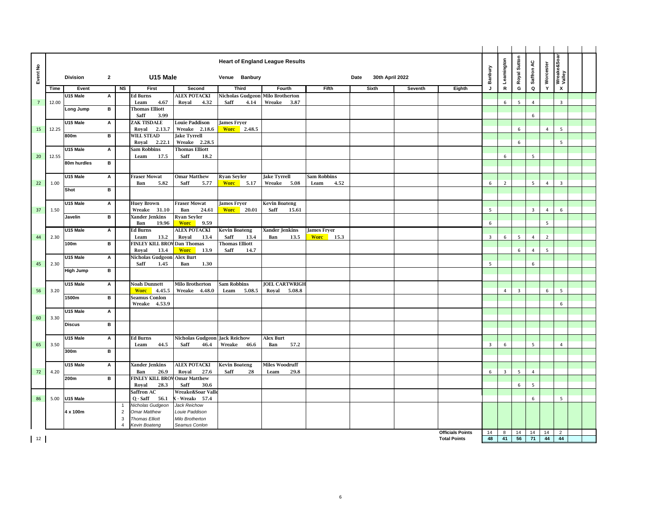| Event No<br>Time<br>12.00<br>$\overline{7}$ | <b>Division</b><br>Event<br>U15 Male<br>Long Jump<br>U15 Male | $\mathbf{2}$<br>Α | N <sub>S</sub> | U15 Male<br>First                      |                                      | <b>Heart of England League Results</b><br>Venue Banbury |                        |                     |                         |         |                                                |                         | Leamington     | Royal Sutton   | Saffron AC              | Worcester      | Wreake&Soar<br>Valley     |  |
|---------------------------------------------|---------------------------------------------------------------|-------------------|----------------|----------------------------------------|--------------------------------------|---------------------------------------------------------|------------------------|---------------------|-------------------------|---------|------------------------------------------------|-------------------------|----------------|----------------|-------------------------|----------------|---------------------------|--|
|                                             |                                                               |                   |                |                                        |                                      |                                                         |                        |                     |                         |         |                                                |                         |                |                |                         |                |                           |  |
|                                             |                                                               |                   |                |                                        |                                      |                                                         |                        |                     | Date<br>30th April 2022 |         |                                                | Banbury                 |                |                |                         |                |                           |  |
|                                             |                                                               |                   |                |                                        | Second                               | <b>Third</b>                                            | Fourth                 | Fifth               | <b>Sixth</b>            | Seventh | Eighth                                         | J                       | ${\mathbf R}$  | G              | $\mathbf Q$             | Y              | $\boldsymbol{\mathsf{x}}$ |  |
|                                             |                                                               |                   |                | <b>Ed Burns</b>                        | <b>ALEX POTACKI</b>                  | Nicholas Gudgeon                                        | <b>Milo Brotherton</b> |                     |                         |         |                                                |                         |                |                |                         |                |                           |  |
|                                             |                                                               |                   |                | 4.67<br>Leam                           | Royal<br>4.32                        | Saff<br>4.14                                            | Wreake<br>3.87         |                     |                         |         |                                                |                         | 6              | 5              | $\overline{4}$          |                | 3                         |  |
|                                             |                                                               | в                 |                | <b>Thomas Elliott</b>                  |                                      |                                                         |                        |                     |                         |         |                                                |                         |                |                |                         |                |                           |  |
|                                             |                                                               |                   |                | Saff<br>3.99                           |                                      |                                                         |                        |                     |                         |         |                                                |                         |                |                | 6                       |                |                           |  |
|                                             |                                                               | A                 |                | ZAK TISDALE                            | <b>Louie Paddison</b>                | <b>James Fryer</b>                                      |                        |                     |                         |         |                                                |                         |                |                |                         | $\overline{4}$ |                           |  |
| 15<br>12.25                                 | 800m                                                          | в                 |                | Roval<br>2.13.7<br><b>WILL STEAD</b>   | Wreake 2.18.6<br><b>Jake Tyrrell</b> | <b>Worc</b> 2.48.5                                      |                        |                     |                         |         |                                                |                         |                | 6              |                         |                | 5                         |  |
|                                             |                                                               |                   |                | Royal<br>2.22.1                        | Wreake 2.28.5                        |                                                         |                        |                     |                         |         |                                                |                         |                | 6              |                         |                | 5                         |  |
|                                             | U15 Male                                                      | $\overline{A}$    |                | Sam Robbins                            | <b>Thomas Elliott</b>                |                                                         |                        |                     |                         |         |                                                |                         |                |                |                         |                |                           |  |
| 20 <sup>°</sup><br>12.55                    |                                                               |                   |                | Leam<br>17.5                           | Saff<br>18.2                         |                                                         |                        |                     |                         |         |                                                |                         | 6              |                | 5                       |                |                           |  |
|                                             | 80m hurdles                                                   | в                 |                |                                        |                                      |                                                         |                        |                     |                         |         |                                                |                         |                |                |                         |                |                           |  |
|                                             |                                                               |                   |                |                                        |                                      |                                                         |                        |                     |                         |         |                                                |                         |                |                |                         |                |                           |  |
|                                             | U15 Male                                                      | A                 |                | <b>Fraser Mowat</b>                    | <b>Omar Matthew</b>                  | Ryan Seyler                                             | <b>Jake Tyrrell</b>    | Sam Robbins         |                         |         |                                                |                         |                |                |                         |                |                           |  |
| 22<br>1.00                                  |                                                               |                   |                | Ban<br>5.82                            | Saff<br>5.77                         | 5.17<br><b>Wore</b>                                     | Wreake 5.08            | Leam<br>4.52        |                         |         |                                                | 6                       | $\overline{2}$ |                | 5                       | $\overline{4}$ | 3                         |  |
|                                             | Shot                                                          | в                 |                |                                        |                                      |                                                         |                        |                     |                         |         |                                                |                         |                |                |                         |                |                           |  |
|                                             | U15 Male                                                      | A                 |                | <b>Huey Brown</b>                      | <b>Fraser Mowat</b>                  | <b>James Fryer</b>                                      | <b>Kevin Boateng</b>   |                     |                         |         |                                                |                         |                |                |                         |                |                           |  |
| 37<br>1.50                                  |                                                               |                   |                | 31.10<br>Wreake                        | 24.61<br>Ban                         | <b>Worc</b><br>20.01                                    | Saff<br>15.61          |                     |                         |         |                                                | - 5                     |                |                | $\overline{\mathbf{3}}$ | $\overline{4}$ | 6                         |  |
|                                             | Javelin                                                       | в                 |                | Xander Jenkins                         | <b>Ryan Seyler</b>                   |                                                         |                        |                     |                         |         |                                                |                         |                |                |                         |                |                           |  |
|                                             |                                                               |                   |                | Ban<br>19.96                           | <b>Worc</b><br>9.59                  |                                                         |                        |                     |                         |         |                                                | 6                       |                |                |                         | 5              |                           |  |
|                                             | U15 Male                                                      | А                 |                | <b>Ed Burns</b>                        | <b>ALEX POTACKI</b>                  | <b>Kevin Boateng</b>                                    | Xander Jenkins         | <b>James Fryer</b>  |                         |         |                                                |                         |                |                |                         |                |                           |  |
| 44<br>2.30                                  |                                                               |                   |                | 13.2<br>Leam                           | Royal<br>13.4                        | Saff<br>13.4                                            | Ban<br>13.5            | 15.3<br><b>Worc</b> |                         |         |                                                | $\overline{\mathbf{3}}$ | 6              | 5              | $\overline{4}$          | $\overline{2}$ |                           |  |
|                                             | 100m                                                          | в                 |                | <b>FINLEY KILL BROV</b>                | Dan Thomas                           | <b>Thomas Elliott</b>                                   |                        |                     |                         |         |                                                |                         |                |                |                         |                |                           |  |
|                                             |                                                               |                   |                | 13.4<br>Royal                          | <b>Worc</b><br>13.9                  | Saff<br>14.7                                            |                        |                     |                         |         |                                                |                         |                | 6              | 4                       | 5              |                           |  |
| 45<br>2.30                                  | U15 Male                                                      | А                 |                | Nicholas Gudgeon<br>Saff<br>1.45       | Alex Burt<br>Ban<br>1.30             |                                                         |                        |                     |                         |         |                                                | 5                       |                |                | 6                       |                |                           |  |
|                                             | High Jump                                                     | в                 |                |                                        |                                      |                                                         |                        |                     |                         |         |                                                |                         |                |                |                         |                |                           |  |
|                                             |                                                               |                   |                |                                        |                                      |                                                         |                        |                     |                         |         |                                                |                         |                |                |                         |                |                           |  |
|                                             | U15 Male                                                      | А                 |                | Noah Dunnett                           | Milo Brotherton                      | <b>Sam Robbins</b>                                      | <b>JOEL CARTWRIGH</b>  |                     |                         |         |                                                |                         |                |                |                         |                |                           |  |
| 56<br>3.20                                  |                                                               |                   |                | <b>Worc</b><br>4.45.5                  | Wreake 4.48.0                        | Leam<br>5.08.5                                          | Royal<br>5.08.8        |                     |                         |         |                                                |                         | $\overline{4}$ | $\overline{3}$ |                         | 6              | 5                         |  |
|                                             | 1500m                                                         | в                 |                | <b>Seamus Conlon</b>                   |                                      |                                                         |                        |                     |                         |         |                                                |                         |                |                |                         |                |                           |  |
|                                             |                                                               |                   |                | Wreake 4.53.9                          |                                      |                                                         |                        |                     |                         |         |                                                |                         |                |                |                         |                | 6                         |  |
| 3.30                                        | U15 Male                                                      | А                 |                |                                        |                                      |                                                         |                        |                     |                         |         |                                                |                         |                |                |                         |                |                           |  |
| 60                                          | Discus                                                        | в                 |                |                                        |                                      |                                                         |                        |                     |                         |         |                                                |                         |                |                |                         |                |                           |  |
|                                             |                                                               |                   |                |                                        |                                      |                                                         |                        |                     |                         |         |                                                |                         |                |                |                         |                |                           |  |
|                                             | U15 Male                                                      | А                 |                | <b>Ed Burns</b>                        | Nicholas Gudgeon Jack Reichow        |                                                         | Alex Burt              |                     |                         |         |                                                |                         |                |                |                         |                |                           |  |
| 65<br>3.50                                  |                                                               |                   |                | Leam<br>44.5                           | Saff<br>46.4                         | Wreake<br>46.6                                          | Ban<br>57.2            |                     |                         |         |                                                | $\overline{3}$          | 6              |                | 5                       |                | $\overline{4}$            |  |
|                                             | 300m                                                          | в                 |                |                                        |                                      |                                                         |                        |                     |                         |         |                                                |                         |                |                |                         |                |                           |  |
|                                             |                                                               |                   |                |                                        |                                      |                                                         |                        |                     |                         |         |                                                |                         |                |                |                         |                |                           |  |
|                                             | U15 Male                                                      | А                 |                | Xander Jenkins                         | <b>ALEX POTACKI</b>                  | <b>Kevin Boateng</b>                                    | Miles Woodruff         |                     |                         |         |                                                |                         |                |                |                         |                |                           |  |
| 72<br>4.20                                  | 200m                                                          | B                 |                | 26.9<br>Ban<br><b>FINLEY KILL BROV</b> | Royal<br>27.6<br><b>Omar Matthew</b> | Saff<br>28                                              | Leam<br>29.8           |                     |                         |         |                                                | 6                       | $\overline{3}$ | 5              | $\overline{4}$          |                |                           |  |
|                                             |                                                               |                   |                | Royal<br>28.3                          | Saff<br>30.6                         |                                                         |                        |                     |                         |         |                                                |                         |                | 6              | 5                       |                |                           |  |
|                                             |                                                               |                   |                | Saffron AC                             | Wreake&Soar Valle                    |                                                         |                        |                     |                         |         |                                                |                         |                |                |                         |                |                           |  |
| 86<br>5.00                                  | U15 Male                                                      |                   |                | $Q - Saff$<br>56.1                     | - Wreak<br>57.4                      |                                                         |                        |                     |                         |         |                                                |                         |                |                | 6                       |                | 5                         |  |
|                                             |                                                               |                   |                | Nicholas Gudgeon                       | Jack Reichow                         |                                                         |                        |                     |                         |         |                                                |                         |                |                |                         |                |                           |  |
|                                             | 4 x 100m                                                      |                   | $\overline{2}$ | <b>Omar Matthew</b>                    | Louie Paddison                       |                                                         |                        |                     |                         |         |                                                |                         |                |                |                         |                |                           |  |
|                                             |                                                               |                   | 3              | <b>Thomas Elliott</b>                  | Milo Brotherton                      |                                                         |                        |                     |                         |         |                                                |                         |                |                |                         |                |                           |  |
|                                             |                                                               |                   |                | Kevin Boateng                          | Seamus Conlon                        |                                                         |                        |                     |                         |         |                                                |                         |                |                |                         |                |                           |  |
| $\vert$ 12                                  |                                                               |                   |                |                                        |                                      |                                                         |                        |                     |                         |         | <b>Officials Points</b><br><b>Total Points</b> | 14<br>48                | 8<br>41        | 14<br>56       | 14<br>71                | 14<br>44 44    | $\overline{2}$            |  |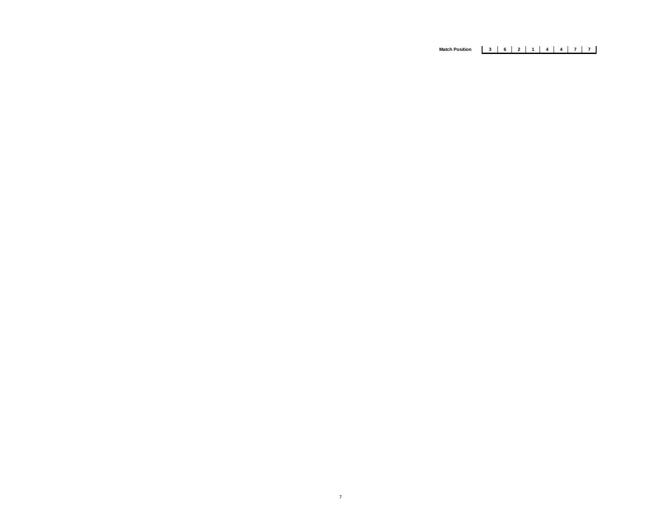# **Match Position 3 6 2 1 4 4 7 7**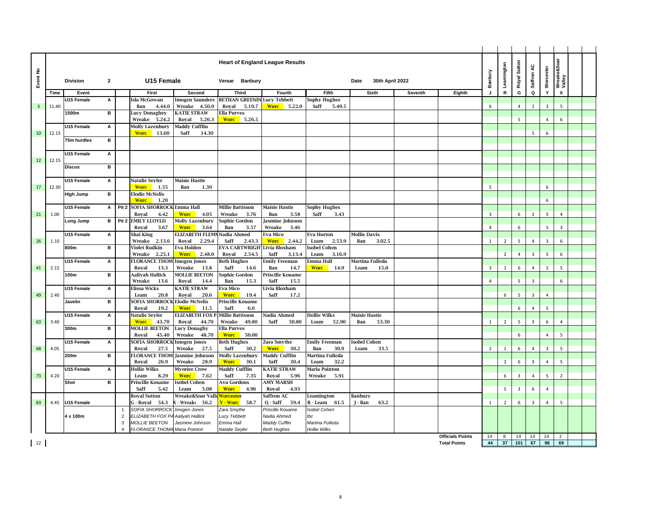| £                       |       |                   |                |                  |                                           |                                            |                                               | <b>Heart of England League Results</b> |                                       |                                      |                |                         | Banbury                 | Leamington     | Royal Sutton   | Saffron AC              | Worcester      | Wreake&Soar<br>Valley |  |
|-------------------------|-------|-------------------|----------------|------------------|-------------------------------------------|--------------------------------------------|-----------------------------------------------|----------------------------------------|---------------------------------------|--------------------------------------|----------------|-------------------------|-------------------------|----------------|----------------|-------------------------|----------------|-----------------------|--|
| Eventl                  |       | <b>Division</b>   | $\mathbf{2}$   |                  | U15 Female                                |                                            | Venue Banbury                                 |                                        |                                       | 30th April 2022<br>Date              |                |                         |                         |                |                |                         |                |                       |  |
|                         | Time  | Event             |                |                  | First                                     | Second                                     | <b>Third</b>                                  | Fourth                                 | Fifth                                 | <b>Sixth</b>                         | <b>Seventh</b> | Eighth                  | J                       | $\mathbf R$    | G              | $\mathbf Q$             | Y              | X                     |  |
|                         |       | U15 Female        | А              |                  | Isla McGowan                              | <b>Imogen Saunders</b>                     | <b>BETHAN GREENIN Lucy Tebbett</b>            |                                        | Sophy Hughes                          |                                      |                |                         |                         |                |                |                         |                |                       |  |
| $\overline{\mathbf{3}}$ | 11.40 | 1500m             | в              |                  | 4.44.0<br>Ban<br>Lucy Donaghey            | Wreake<br>4.50.0<br><b>KATIE STRAW</b>     | Royal<br>5.19.7<br><b>Ella Purves</b>         | <b>Worc</b> 5.22.0                     | Saff<br>5.49.5                        |                                      |                |                         | 6                       |                | $\overline{4}$ | $\overline{2}$          | $\overline{3}$ | 5                     |  |
|                         |       |                   |                |                  | 5.24.2<br>Wreake                          | Roval<br>5.26.3                            | <b>Worc</b><br>5.26.5                         |                                        |                                       |                                      |                |                         |                         |                | 5              |                         | $\overline{4}$ | 6                     |  |
|                         |       | U15 Female        | А              |                  | <b>Molly Lazenbury</b>                    | Maddy Cufflin                              |                                               |                                        |                                       |                                      |                |                         |                         |                |                |                         |                |                       |  |
| 10                      | 12.15 |                   |                |                  | <b>Worc</b><br>13.60                      | Saff<br>14.30                              |                                               |                                        |                                       |                                      |                |                         |                         |                |                | 5                       | 6              |                       |  |
|                         |       | 75m hurdles       | в              |                  |                                           |                                            |                                               |                                        |                                       |                                      |                |                         |                         |                |                |                         |                |                       |  |
|                         |       | U15 Female        | А              |                  |                                           |                                            |                                               |                                        |                                       |                                      |                |                         |                         |                |                |                         |                |                       |  |
| 12                      | 12.15 |                   |                |                  |                                           |                                            |                                               |                                        |                                       |                                      |                |                         |                         |                |                |                         |                |                       |  |
|                         |       | <b>Discus</b>     | в              |                  |                                           |                                            |                                               |                                        |                                       |                                      |                |                         |                         |                |                |                         |                |                       |  |
|                         |       |                   |                |                  |                                           |                                            |                                               |                                        |                                       |                                      |                |                         |                         |                |                |                         |                |                       |  |
| 17                      | 12.30 | U15 Female        | А              |                  | Natalie Seyler<br><b>Worc</b><br>1.55     | Maisie Hastie<br>Ban<br>1.30               |                                               |                                        |                                       |                                      |                |                         | 5                       |                |                |                         | 6              |                       |  |
|                         |       | <b>High Jump</b>  | в              |                  | <b>Elodie McNelis</b>                     |                                            |                                               |                                        |                                       |                                      |                |                         |                         |                |                |                         |                |                       |  |
|                         |       |                   |                |                  | <b>Worc</b><br>1.20                       |                                            |                                               |                                        |                                       |                                      |                |                         |                         |                |                |                         | 6              |                       |  |
|                         |       | <b>U15 Female</b> | $\overline{A}$ | Pit 2            | SOFIA SHORROCK Emma Hall                  |                                            | <b>Millie Battisson</b>                       | <b>Maisie Hastie</b>                   | <b>Sophy Hughes</b>                   |                                      |                |                         |                         |                |                |                         |                |                       |  |
| 21                      | 1.00  | Long Jump         | в              | Pit <sub>2</sub> | Royal<br>4.42<br><b>EMILY LLOYLD</b>      | 4.05<br><b>Worc</b><br>Molly Lazenbury     | Wreake<br>3.76<br>Sophie Gordon               | Ban<br>3.58<br>Jasmine Johnson         | Saff<br>3.43                          |                                      |                |                         | $\overline{\mathbf{3}}$ |                | 6              | $\overline{2}$          | 5              | $\overline{4}$        |  |
|                         |       |                   |                |                  | Royal<br>3.67                             | <b>Worc</b><br>3.64                        | Ban<br>3.57                                   | Wreake<br>3.46                         |                                       |                                      |                |                         | 4                       |                | 6              |                         | 5              | 3                     |  |
|                         |       | U15 Female        | A              |                  | Shai King                                 | <b>ELIZABETH FLEMN</b>                     | Nadia Ahmed                                   | <b>Eva Mico</b>                        | Eva Horton                            | <b>Mollie Davis</b>                  |                |                         |                         |                |                |                         |                |                       |  |
| 26                      | 1.10  | 800m              | в              |                  | Wreake<br>2.13.6<br>Violet Rudkin         | Royal<br>2.29.4<br>Eva Holden              | Saff<br>2.43.3<br>EVA CARTWRIGH Livia Bloxham | 2.44.2<br><b>Worc</b>                  | 2.53.9<br>Leam                        | Ban<br>3.02.5                        |                |                         | <sup>1</sup>            | $\overline{2}$ | 5              | $\overline{4}$          | 3              | 6                     |  |
|                         |       |                   |                |                  | Wreake<br>2.25.1                          | <b>Worc</b><br>2.48.0                      | Royal<br>2.54.5                               | Saff<br>3.13.4                         | <b>Isobel Cohen</b><br>Leam<br>3.16.9 |                                      |                |                         |                         | $\overline{2}$ | $\overline{4}$ | $\overline{3}$          | 5              | 6                     |  |
|                         |       | U15 Female        | A              |                  | <b>FLORANCE THOM Imogen Jones</b>         |                                            | <b>Beth Hughes</b>                            | <b>Emily Freeman</b>                   | Emma Hall                             | Martina Fulleda                      |                |                         |                         |                |                |                         |                |                       |  |
| 41                      | 2.15  |                   |                |                  | Roval<br>13.3                             | Wreake<br>13.8                             | Saff<br>14.6                                  | Ban<br>14.7                            | <b>Worc</b><br>14.9                   | Leam<br>15.0                         |                |                         | $\overline{\mathbf{3}}$ | $\overline{1}$ | 6              | $\overline{4}$          | $\overline{2}$ | -5                    |  |
|                         |       | 100m              | в              |                  | Aaliyah Hallick<br>Wreake<br>13.6         | <b>MOLLIE BEETON</b><br>Royal<br>14.4      | Sophie Gordon<br>15.3                         | <b>Priscille Kouame</b><br>Saff        |                                       |                                      |                |                         | $\overline{4}$          |                | 5              | $\overline{\mathbf{3}}$ |                | 6                     |  |
|                         |       | U15 Female        | A              |                  | Elissa Wicks                              | <b>KATIE STRAW</b>                         | Ban<br><b>Eva Mico</b>                        | 15.5<br>Livia Bloxham                  |                                       |                                      |                |                         |                         |                |                |                         |                |                       |  |
| 49                      | 2.40  |                   |                |                  | Leam<br>20.8                              | Royal<br>20.6                              | <b>Worc</b><br>19.4                           | Saff<br>17.2                           |                                       |                                      |                |                         |                         | 6              | $\overline{5}$ | $\overline{3}$          | $\overline{4}$ |                       |  |
|                         |       | Javelin           | в              |                  | SOFIA SHORROCK Elodie McNelis             |                                            | Priscille Kouame                              |                                        |                                       |                                      |                |                         |                         |                |                |                         |                |                       |  |
|                         |       |                   |                |                  | Royal<br>19.2                             | <b>Worc</b><br>11.5                        | Saff<br>6.0                                   |                                        |                                       |                                      |                |                         |                         |                | 6              | $\overline{4}$          | 5              |                       |  |
| 63                      | 3.40  | U15 Female        | A              |                  | Natalie Seyler<br>43.70<br><b>Worc</b>    | <b>ELIZABETH FOX</b><br>Royal<br>44.70     | <b>Millie Battisson</b><br>49.80<br>Wreake    | Nadia Ahmed<br>Saff<br>50.80           | <b>Hollie Wilks</b><br>52.90<br>Leam  | <b>Maisie Hastie</b><br>Ban<br>53.30 |                |                         | $\mathbf{1}$            | $\overline{2}$ | 5              | $\overline{3}$          | 6              | $\overline{4}$        |  |
|                         |       | 300m              | в              |                  | <b>MOLLIE BEETON</b>                      | Lucy Donaghy                               | Ella Purves                                   |                                        |                                       |                                      |                |                         |                         |                |                |                         |                |                       |  |
|                         |       |                   |                |                  | 45.40<br>Royal                            | Wreake<br>48.70                            | <b>Worc</b><br>50.00                          |                                        |                                       |                                      |                |                         |                         |                | 6              |                         | $\overline{4}$ | 5                     |  |
|                         | 4.05  | U15 Female        | А              |                  | SOFIA SHORROCK<br>27.5                    | <b>Imogen Jones</b><br>Wreake<br>27.5      | <b>Beth Hughes</b><br>Saff<br>30.2            | Zara Smythe<br><b>Worc</b>             | <b>Emily Freeman</b><br>Ban<br>30.9   | <b>Isobel Cohen</b>                  |                |                         | $\overline{2}$          |                |                |                         | $\overline{3}$ | 5                     |  |
| 68                      |       | 200m              | в              |                  | Royal<br><b>FLORANCE THOM</b>             | Jasmine Johnson                            | Molly Lazenbury                               | 30.2<br><b>Maddy Cufflin</b>           | Martina Fulleda                       | 33.5<br>Leam                         |                |                         |                         | $\mathbf{1}$   | 6              | $\overline{4}$          |                |                       |  |
|                         |       |                   |                |                  | 26.9<br>Royal                             | Wreake<br>28.9                             | <b>Worc</b><br>30.1                           | Saff<br>30.4                           | 32.2<br>Leam                          |                                      |                |                         |                         | $\overline{2}$ | 6              | $\overline{\mathbf{3}}$ | $\overline{4}$ | 5                     |  |
|                         |       | U15 Female        | A              |                  | Hollie Wilks                              | <b>Myoriee Crow</b>                        | Maddy Cufflin                                 | <b>KATIE STRAW</b>                     | Maria Pointon                         |                                      |                |                         |                         |                |                |                         |                |                       |  |
| 73                      | 4.20  | Shot              | в              |                  | 8.29<br>Leam<br>Priscille Kouame          | <b>Worc</b><br>7.62<br><b>Isobel Cohen</b> | Saff<br>7.35<br>Ava Gordons                   | Royal<br>5.96<br><b>AMY MARSH</b>      | Wreake<br>5.91                        |                                      |                |                         |                         | 6              | 3              | $\overline{4}$          | 5              | $\overline{2}$        |  |
|                         |       |                   |                |                  | Saff<br>5.42                              | 5.08<br>Leam                               | <b>Worc</b><br>4.96                           | Royal<br>4.93                          |                                       |                                      |                |                         |                         | 5              | 3              | 6                       | 4              |                       |  |
|                         |       |                   |                |                  | Royal Sutton                              | Wreake&Soar Valle <mark>Worceste</mark> r  |                                               | Saffron AC                             | Leamington                            | Banbury                              |                |                         |                         |                |                |                         |                |                       |  |
| 83                      | 4.45  | U15 Female        |                |                  | G - Roval<br>54.3                         | 56.2<br>- Wreak <sub>'</sub>               | Y - Worc<br>58.7                              | $Q - Saff$<br>59.4                     | R - Leam<br>61.5                      | J - Ban<br>63.2                      |                |                         | $\mathbf{1}$            | $\overline{2}$ | 6              | $\overline{\mathbf{3}}$ | $\overline{4}$ | 5                     |  |
|                         |       | 4 x 100m          |                | $\overline{2}$   | <b>SOFIA SHORROCK</b><br>ELIZABETH FOX PA | Imogen Jones                               | Zara Smythe                                   | Priscille Kouame<br>Nadia Ahmed        | <b>Isobel Cohen</b><br>tbc            |                                      |                |                         |                         |                |                |                         |                |                       |  |
|                         |       |                   |                | 3                | <b>MOLLIE BEETON</b>                      | Aaliyah Hallick<br>Jasmine Johnson         | <b>Lucy Tebbett</b><br>Emma Hall              | Maddy Cufflin                          | Martina Fulleda                       |                                      |                |                         |                         |                |                |                         |                |                       |  |
|                         |       |                   |                |                  | <b>FLORANCE THOMA</b>                     | Maria Pointon                              | Natalie Seyler                                | <b>Beth Hughes</b>                     | Hollie Wilks                          |                                      |                |                         |                         |                |                |                         |                |                       |  |
|                         |       |                   |                |                  |                                           |                                            |                                               |                                        |                                       |                                      |                | <b>Officials Points</b> | 14                      | 8              | 14             | 14                      | 14             | $\overline{2}$        |  |
| 12                      |       |                   |                |                  |                                           |                                            |                                               |                                        |                                       |                                      |                | <b>Total Points</b>     | 44                      | 37             | 101            | 67                      | 98             | 69                    |  |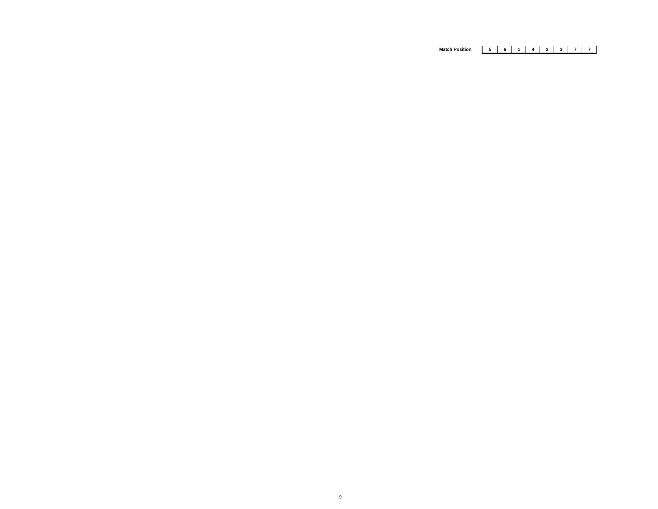# **Match Position 5 6 1 4 2 3 7 7**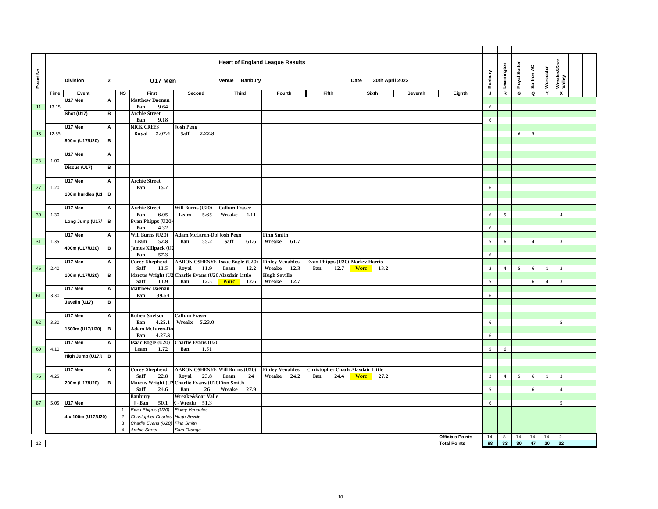|                 |       |                    |                |                |                                       |                                       |                                        | <b>Heart of England League Results</b> |                                    |                         |         |                         |                |                | Royal Sutton   |             |                | Wreake&Soar<br>Valley |  |
|-----------------|-------|--------------------|----------------|----------------|---------------------------------------|---------------------------------------|----------------------------------------|----------------------------------------|------------------------------------|-------------------------|---------|-------------------------|----------------|----------------|----------------|-------------|----------------|-----------------------|--|
| Event No        |       | <b>Division</b>    | $\overline{2}$ |                | U17 Men                               |                                       | Venue Banbury                          |                                        |                                    | 30th April 2022<br>Date |         |                         | Banbury        | Leamington     |                | Saffron AC  | Worcester      |                       |  |
|                 | Time  | Event              |                | N <sub>S</sub> | First                                 | Second                                | <b>Third</b>                           | Fourth                                 | <b>Fifth</b>                       | Sixth                   | Seventh | Eighth                  | J              | ${\mathbf R}$  | G              | $\mathbf Q$ | Y              | $\pmb{\chi}$          |  |
|                 |       | U17 Men            | A              |                | <b>Matthew Daenan</b>                 |                                       |                                        |                                        |                                    |                         |         |                         |                |                |                |             |                |                       |  |
| 11              | 12.15 |                    |                |                | 9.64<br>Ban                           |                                       |                                        |                                        |                                    |                         |         |                         | 6              |                |                |             |                |                       |  |
|                 |       | Shot (U17)         | в              |                | <b>Archie Street</b><br>Ban<br>9.18   |                                       |                                        |                                        |                                    |                         |         |                         | 6              |                |                |             |                |                       |  |
|                 |       | U17 Men            | Α              |                | <b>NICK CREES</b>                     | <b>Josh Pegg</b>                      |                                        |                                        |                                    |                         |         |                         |                |                |                |             |                |                       |  |
| 18              | 12.35 |                    |                |                | 2.07.4<br>Royal                       | 2.22.8<br>Saff                        |                                        |                                        |                                    |                         |         |                         |                |                | 6              | 5           |                |                       |  |
|                 |       | 800m (U17/U20)     | $\, {\bf B}$   |                |                                       |                                       |                                        |                                        |                                    |                         |         |                         |                |                |                |             |                |                       |  |
|                 |       |                    |                |                |                                       |                                       |                                        |                                        |                                    |                         |         |                         |                |                |                |             |                |                       |  |
| 23              | 1.00  | U17 Men            | A              |                |                                       |                                       |                                        |                                        |                                    |                         |         |                         |                |                |                |             |                |                       |  |
|                 |       | Discus (U17)       | в              |                |                                       |                                       |                                        |                                        |                                    |                         |         |                         |                |                |                |             |                |                       |  |
|                 |       |                    |                |                |                                       |                                       |                                        |                                        |                                    |                         |         |                         |                |                |                |             |                |                       |  |
|                 |       | U17 Men            | Α              |                | <b>Archie Street</b>                  |                                       |                                        |                                        |                                    |                         |         |                         |                |                |                |             |                |                       |  |
| 27              | 1.20  | 100m hurdles (U1 B |                |                | 15.7<br>Ban                           |                                       |                                        |                                        |                                    |                         |         |                         | 6              |                |                |             |                |                       |  |
|                 |       |                    |                |                |                                       |                                       |                                        |                                        |                                    |                         |         |                         |                |                |                |             |                |                       |  |
|                 |       | U17 Men            | A              |                | <b>Archie Street</b>                  | Will Burns (U20)                      | <b>Callum Fraser</b>                   |                                        |                                    |                         |         |                         |                |                |                |             |                |                       |  |
| 30 <sup>°</sup> | 1.30  |                    |                |                | Ban<br>6.05                           | Leam<br>5.65                          | Wreake<br>4.11                         |                                        |                                    |                         |         |                         | 6              | 5              |                |             |                | $\overline{4}$        |  |
|                 |       | Long Jump (U17/ B  |                |                | Evan Phipps (U20)<br>Ban<br>4.32      |                                       |                                        |                                        |                                    |                         |         |                         | 6              |                |                |             |                |                       |  |
|                 |       | U17 Men            | A              |                | Will Burns (U20)                      | Adam McLaren-Do Josh Pegg             |                                        | <b>Finn Smith</b>                      |                                    |                         |         |                         |                |                |                |             |                |                       |  |
| 31              | 1.35  |                    |                |                | 52.8<br>Leam                          | Ban<br>55.2                           | Saff<br>61.6                           | 61.7<br>Wreake                         |                                    |                         |         |                         | 5              | 6              |                | 4           |                | 3                     |  |
|                 |       | 400m (U17/U20)     | в              |                | James Killpack (U2                    |                                       |                                        |                                        |                                    |                         |         |                         |                |                |                |             |                |                       |  |
|                 |       | U17 Men            | A              |                | 57.3<br>Ban<br><b>Corey Shepherd</b>  |                                       | <b>AARON OSHENYE Isaac Bogle (U20)</b> | <b>Finley Venables</b>                 | Evan Phipps (U20) Marley Harris    |                         |         |                         | 6              |                |                |             |                |                       |  |
| 46              | 2.40  |                    |                |                | Saff<br>11.5                          | Royal<br>11.9                         | Leam<br>12.2                           | Wreake<br>12.3                         | Ban<br>12.7                        | <b>Worc</b><br>13.2     |         |                         | $\overline{2}$ | $\overline{4}$ | 5 <sup>5</sup> | 6           | <sup>1</sup>   | 3                     |  |
|                 |       | 100m (U17/U20)     | B              |                | Marcus Wright (U2                     | Charlie Evans (U2                     | <b>Alasdair Little</b>                 | <b>Hugh Seville</b>                    |                                    |                         |         |                         |                |                |                |             |                |                       |  |
|                 |       |                    |                |                | 11.9<br>Saff                          | Ban<br>12.5                           | 12.6<br><b>Worc</b>                    | Wreake<br>12.7                         |                                    |                         |         |                         | 5              |                |                | 6           | $\overline{4}$ | 3                     |  |
| 61              | 3.30  | U17 Men            | A              |                | <b>Matthew Daenan</b><br>Ban<br>39.64 |                                       |                                        |                                        |                                    |                         |         |                         | 6              |                |                |             |                |                       |  |
|                 |       | Javelin (U17)      | в              |                |                                       |                                       |                                        |                                        |                                    |                         |         |                         |                |                |                |             |                |                       |  |
|                 |       |                    |                |                |                                       |                                       |                                        |                                        |                                    |                         |         |                         |                |                |                |             |                |                       |  |
|                 |       | U17 Men            | A              |                | <b>Ruben Snelson</b>                  | Callum Fraser                         |                                        |                                        |                                    |                         |         |                         |                |                |                |             |                |                       |  |
| 62              | 3.30  | 1500m (U17/U20) B  |                |                | 4.25.1<br>Ban<br>Adam McLaren-Do      | Wreake 5.23.0                         |                                        |                                        |                                    |                         |         |                         | 6              |                |                |             |                | 5                     |  |
|                 |       |                    |                |                | Ban<br>4.27.8                         |                                       |                                        |                                        |                                    |                         |         |                         | 6              |                |                |             |                |                       |  |
|                 |       | U17 Men            | Α              |                | saac Bogle (U20)                      | Charlie Evans (U2)                    |                                        |                                        |                                    |                         |         |                         |                |                |                |             |                |                       |  |
| 69              | 4.10  |                    |                |                | 1.72<br>Leam                          | Ban<br>1.51                           |                                        |                                        |                                    |                         |         |                         | 5              | 6              |                |             |                |                       |  |
|                 |       | High Jump (U17/l B |                |                |                                       |                                       |                                        |                                        |                                    |                         |         |                         |                |                |                |             |                |                       |  |
|                 |       | U17 Men            | Α              |                | <b>Corey Shepherd</b>                 | <b>AARON OSHENYE Will Burns (U20)</b> |                                        | <b>Finley Venables</b>                 | Christopher Charle Alasdair Little |                         |         |                         |                |                |                |             |                |                       |  |
| 76              | 4.25  |                    |                |                | Saff<br>22.8                          | 23.8<br>Royal                         | Leam<br>24                             | Wreake<br>24.2                         | Ban<br>24.4                        | <b>Worc</b><br>27.2     |         |                         | $\overline{2}$ | $\overline{4}$ | 5              | 6           | $\overline{1}$ | $\overline{3}$        |  |
|                 |       | 200m (U17/U20)     | B              |                |                                       | Marcus Wright (U2 Charlie Evans (U2   | <b>Finn Smith</b>                      |                                        |                                    |                         |         |                         |                |                |                |             |                |                       |  |
|                 |       |                    |                |                | Saff<br>24.6                          | 26<br>Ban                             | Wreake<br>27.9                         |                                        |                                    |                         |         |                         | -5             |                |                | 6           |                | $\overline{4}$        |  |
| 87              | 5.05  | U17 Men            |                |                | Banbury<br>J - Ban<br>50.1            | Wreake&Soar Vall<br>- Wreak<br>51.3   |                                        |                                        |                                    |                         |         |                         | 6              |                |                |             |                | 5                     |  |
|                 |       |                    |                |                | Evan Phipps (U20)                     | <b>Finley Venables</b>                |                                        |                                        |                                    |                         |         |                         |                |                |                |             |                |                       |  |
|                 |       | 4 x 100m (U17/U20) |                | $\overline{2}$ | Christopher Charles Hugh Seville      |                                       |                                        |                                        |                                    |                         |         |                         |                |                |                |             |                |                       |  |
|                 |       |                    |                | $\mathbf{3}$   | Charlie Evans (U20) Finn Smith        |                                       |                                        |                                        |                                    |                         |         |                         |                |                |                |             |                |                       |  |
|                 |       |                    |                | $\overline{4}$ | <b>Archie Street</b>                  | Sam Orange                            |                                        |                                        |                                    |                         |         | <b>Officials Points</b> | 14             | 8              | 14             | 14          | 14             | $\overline{2}$        |  |
| 12              |       |                    |                |                |                                       |                                       |                                        |                                        |                                    |                         |         | <b>Total Points</b>     | 98             | 33             | 30             | 47          | 20             | 32                    |  |
|                 |       |                    |                |                |                                       |                                       |                                        |                                        |                                    |                         |         |                         |                |                |                |             |                |                       |  |

10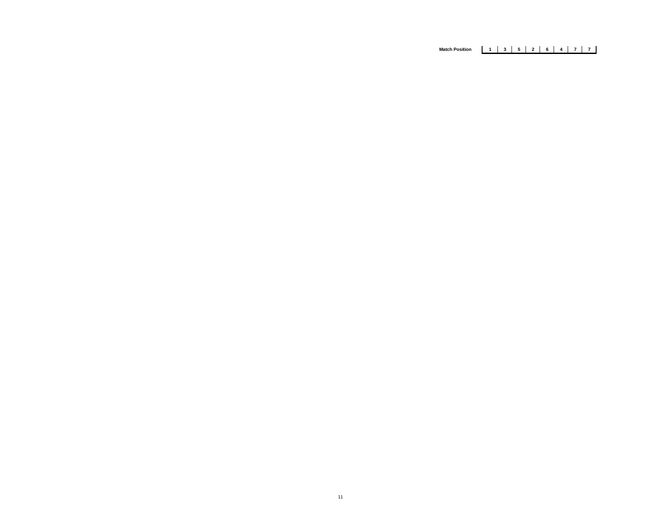# **Match Position 1 3 5 2 6 4 7 7**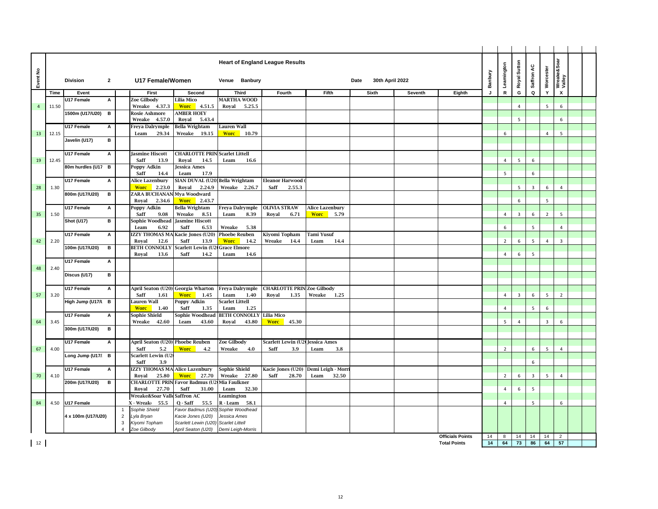|                |       |                    |                |                |                                          |                                       | <b>Heart of England League Results</b> |                     |                        |                                   |       |                         |         |                         |         | Leamington     | Royal Sutton   | Saffron AC              |                 | Wreake&Soar<br>Valley   |  |
|----------------|-------|--------------------|----------------|----------------|------------------------------------------|---------------------------------------|----------------------------------------|---------------------|------------------------|-----------------------------------|-------|-------------------------|---------|-------------------------|---------|----------------|----------------|-------------------------|-----------------|-------------------------|--|
| Event No       |       | <b>Division</b>    | $\overline{2}$ |                | U17 Female/Women                         |                                       | Venue Banbury                          |                     |                        |                                   |       | 30th April 2022<br>Date |         |                         | Banbury |                |                |                         | Worcester       |                         |  |
|                | Time  | Event              |                |                | First                                    | Second                                | <b>Third</b>                           |                     | Fourth                 | <b>Fifth</b>                      |       | <b>Sixth</b>            | Seventh | Eighth                  | J       | $\mathsf{R}$   | G              | Q                       | Y               | $\mathsf{x}$            |  |
|                |       | U17 Female         | А              |                | Zoe Gilbody                              | Lilia Mico                            | <b>MARTHA WOOD</b>                     |                     |                        |                                   |       |                         |         |                         |         |                |                |                         |                 |                         |  |
| $\overline{4}$ | 11.50 |                    |                |                | Wreake 4.37.3                            | <b>Worc</b> 4.51.5                    | Royal<br>5.25.5                        |                     |                        |                                   |       |                         |         |                         |         |                | $\overline{4}$ |                         | $5\overline{)}$ | 6                       |  |
|                |       | 1500m (U17/U20)    | B              |                | <b>Rosie Ashmore</b><br>Wreake<br>4.57.0 | <b>AMBER HOEY</b><br>Royal<br>5.43.4  |                                        |                     |                        |                                   |       |                         |         |                         |         |                | 5              |                         |                 | 6                       |  |
|                |       | U17 Female         | А              |                | Freya Dalrymple                          | Bella Wrightam                        | Lauren Wall                            |                     |                        |                                   |       |                         |         |                         |         |                |                |                         |                 |                         |  |
| 13             | 12.15 |                    |                |                | 29.34<br>Leam                            | Wreake<br>19.15                       | <b>Worc</b> 10.79                      |                     |                        |                                   |       |                         |         |                         |         | 6              |                |                         | $\overline{4}$  | 5                       |  |
|                |       | Javelin (U17)      | в              |                |                                          |                                       |                                        |                     |                        |                                   |       |                         |         |                         |         |                |                |                         |                 |                         |  |
|                |       |                    |                |                |                                          |                                       |                                        |                     |                        |                                   |       |                         |         |                         |         |                |                |                         |                 |                         |  |
|                |       | U17 Female         | А              |                | <b>Jasmine Hiscott</b>                   | <b>CHARLOTTE PRIN Scarlet Littell</b> |                                        |                     |                        |                                   |       |                         |         |                         |         |                |                |                         |                 |                         |  |
| 19             | 12.45 |                    |                |                | Saff<br>13.9                             | Royal<br>14.5                         | 16.6<br>Leam                           |                     |                        |                                   |       |                         |         |                         |         | $\overline{4}$ | 5              | 6                       |                 |                         |  |
|                |       | 80m hurdles (U17 B |                |                | Poppy Adkin<br>Saff<br>14.4              | Jessica Ames<br>Leam<br>17.9          |                                        |                     |                        |                                   |       |                         |         |                         |         | 5              |                | 6                       |                 |                         |  |
|                |       | U17 Female         | А              |                | Alice Lazenbury                          | SIAN DUVAL (U20) Bella Wrightam       |                                        |                     | <b>Eleanor Harwood</b> |                                   |       |                         |         |                         |         |                |                |                         |                 |                         |  |
| 28             | 1.30  |                    |                |                | 2.23.0<br><b>Worc</b>                    | Royal<br>2.24.9                       | Wreake 2.26.7                          | Saff                | 2.55.3                 |                                   |       |                         |         |                         |         |                | 5              | $\overline{\mathbf{3}}$ | 6               | $\overline{4}$          |  |
|                |       | 800m (U17/U20)     | в              |                | ZARA BUCHANAN Mya Woodward               |                                       |                                        |                     |                        |                                   |       |                         |         |                         |         |                |                |                         |                 |                         |  |
|                |       |                    |                |                | Royal<br>2.34.6                          | <b>Worc</b><br>2.43.7                 |                                        |                     |                        |                                   |       |                         |         |                         |         |                | 6              |                         | 5               |                         |  |
|                |       | U17 Female         | A              |                | Poppy Adkin                              | Bella Wrightam                        | <b>Freya Dalrymple</b>                 | <b>OLIVIA STRAW</b> |                        | <b>Alice Lazenbury</b>            |       |                         |         |                         |         |                |                |                         |                 |                         |  |
| 35             | 1.50  | <b>Shot (U17)</b>  | в              |                | Saff<br>9.08<br>Sophie Woodhead          | Wreake<br>8.51<br>Jasmine Hiscott     | Leam<br>8.39                           | Royal               | 6.71                   | <b>Worc</b>                       | 5.79  |                         |         |                         |         | $\overline{4}$ | 3              | 6                       | $\overline{2}$  | 5                       |  |
|                |       |                    |                |                | 6.92<br>Leam                             | Saff<br>6.53                          | 5.38<br>Wreake                         |                     |                        |                                   |       |                         |         |                         |         | 6              |                | 5                       |                 | 4                       |  |
|                |       | U17 Female         | А              |                | <b>IZZY THOMAS MAI</b>                   | Kacie Jones (U20)                     | <b>Phoebe Reuben</b>                   | Kiyomi Topham       |                        | Tami Yusuf                        |       |                         |         |                         |         |                |                |                         |                 |                         |  |
| 42             | 2.20  |                    |                |                | 12.6<br>Royal                            | 13.9<br>Saff                          | <b>Worc</b><br>14.2                    | Wreake              | 14.4                   | Leam                              | 14.4  |                         |         |                         |         | $\overline{2}$ | 6              | 5                       | $\overline{4}$  | $\overline{\mathbf{3}}$ |  |
|                |       | 100m (U17/U20)     | B              |                | <b>BETH CONNOLLY</b>                     | Scarlett Lewin (U                     | Grace Elmore                           |                     |                        |                                   |       |                         |         |                         |         |                |                |                         |                 |                         |  |
|                |       |                    |                |                | Roval<br>13.6                            | Saff<br>14.2                          | 14.6<br>Leam                           |                     |                        |                                   |       |                         |         |                         |         | $\overline{4}$ | 6              | 5                       |                 |                         |  |
| 48             | 2.40  | U17 Female         | А              |                |                                          |                                       |                                        |                     |                        |                                   |       |                         |         |                         |         |                |                |                         |                 |                         |  |
|                |       | Discus (U17)       | в              |                |                                          |                                       |                                        |                     |                        |                                   |       |                         |         |                         |         |                |                |                         |                 |                         |  |
|                |       |                    |                |                |                                          |                                       |                                        |                     |                        |                                   |       |                         |         |                         |         |                |                |                         |                 |                         |  |
|                |       | U17 Female         | А              |                |                                          | April Seaton (U20) Georgia Wharton    | <b>Freya Dalrymple</b>                 |                     |                        | <b>CHARLOTTE PRIN Zoe Gilbody</b> |       |                         |         |                         |         |                |                |                         |                 |                         |  |
| 57             | 3.20  |                    |                |                | Saff<br>1.61                             | <b>Worc</b><br>1.45                   | Leam<br>1.40                           | Royal               | 1.35                   | Wreake                            | 1.25  |                         |         |                         |         | $\overline{4}$ | 3              | 6                       | 5               | $\overline{z}$          |  |
|                |       | High Jump (U17/l B |                |                | Lauren Wall<br><b>Worc</b><br>1.40       | Poppy Adkin<br>Saff<br>1.35           | <b>Scarlet Littell</b><br>1.25<br>Leam |                     |                        |                                   |       |                         |         |                         |         | $\overline{4}$ |                | 5                       | 6               |                         |  |
|                |       | U17 Female         | А              |                | Sophie Shield                            | Sophie Woodhead                       | <b>BETH CONNOLLY</b>                   | <b>Lilia Mico</b>   |                        |                                   |       |                         |         |                         |         |                |                |                         |                 |                         |  |
| 64             | 3.45  |                    |                |                | Wreake<br>42.60                          | Leam<br>43.60                         | 43.80<br>Royal                         | <b>Worc</b>         | 45.30                  |                                   |       |                         |         |                         |         | 5              | $\overline{4}$ |                         | $\overline{3}$  | 6                       |  |
|                |       | 300m (U17/U20)     | в              |                |                                          |                                       |                                        |                     |                        |                                   |       |                         |         |                         |         |                |                |                         |                 |                         |  |
|                |       |                    |                |                |                                          |                                       |                                        |                     |                        |                                   |       |                         |         |                         |         |                |                |                         |                 |                         |  |
|                |       | U17 Female         | А              |                | April Seaton (U20) Phoebe Reuben         |                                       | Zoe Gilbody                            |                     | Scarlett Lewin (U2)    | Jessica Ames                      |       |                         |         |                         |         |                |                |                         |                 |                         |  |
| 67             | 4.00  | Long Jump (U17/ B  |                |                | Saff<br>5.2<br>Scarlett Lewin (U2        | <b>Worc</b><br>4.2                    | 4.0<br>Wreake                          | Saff                | 3.9                    | Leam                              | 3.8   |                         |         |                         |         | $\overline{2}$ |                | 6                       | 5               | $\overline{4}$          |  |
|                |       |                    |                |                | Saff<br>3.9                              |                                       |                                        |                     |                        |                                   |       |                         |         |                         |         |                |                | 6                       |                 |                         |  |
|                |       | U17 Female         | A              |                | <b>IZZY THOMAS MA Alice Lazenbury</b>    |                                       | <b>Sophie Shield</b>                   |                     | Kacie Jones (U20)      | Demi Leigh - Morr                 |       |                         |         |                         |         |                |                |                         |                 |                         |  |
| 70             | 4.10  |                    |                |                | 25.80<br>Royal                           | <b>Worc</b><br>27.70                  | Wreake<br>27.80                        | Saff                | 28.70                  | Leam                              | 32.50 |                         |         |                         |         | $\overline{2}$ | 6              | $\overline{3}$          | 5               | $\overline{4}$          |  |
|                |       | 200m (U17/U20)     | в              |                | <b>CHARLOTTE PRIN</b>                    | Favor Badmus (U2                      | Mia Faulkner                           |                     |                        |                                   |       |                         |         |                         |         |                |                |                         |                 |                         |  |
|                |       |                    |                |                | 27.70<br>Royal                           | Saff<br>31.00                         | Leam<br>32.30                          |                     |                        |                                   |       |                         |         |                         |         | 4              | 6              | 5                       |                 |                         |  |
|                |       |                    |                |                | Wreake&Soar Valle Saffron AC             |                                       | Leamington                             |                     |                        |                                   |       |                         |         |                         |         |                |                |                         |                 |                         |  |
| 84             | 4.50  | U17 Female         |                | $\overline{1}$ | X - Wreako<br>55.5<br>Sophie Shield      | Q - Saff<br>55.5<br>Favor Badmus (U20 | R - Leam<br>58.1<br>Sophie Woodhead    |                     |                        |                                   |       |                         |         |                         |         | $\overline{4}$ |                | 5                       |                 | 6                       |  |
|                |       | 4 x 100m (U17/U20) |                | $\overline{2}$ | Lyla Bryan                               | Kacie Jones (U20)                     | Jessica Ames                           |                     |                        |                                   |       |                         |         |                         |         |                |                |                         |                 |                         |  |
|                |       |                    |                | $\mathbf{3}$   | Kiyomi Topham                            | Scarlett Lewin (U20) Scarlet Littell  |                                        |                     |                        |                                   |       |                         |         |                         |         |                |                |                         |                 |                         |  |
|                |       |                    |                |                | Zoe Gilbody                              | April Seaton (U20)                    | Demi Leigh-Morris                      |                     |                        |                                   |       |                         |         |                         |         |                |                |                         |                 |                         |  |
|                |       |                    |                |                |                                          |                                       |                                        |                     |                        |                                   |       |                         |         | <b>Officials Points</b> | 14      | 8              | 14             | 14                      | 14              | $\overline{2}$          |  |
| 12             |       |                    |                |                |                                          |                                       |                                        |                     |                        |                                   |       |                         |         | <b>Total Points</b>     | 14      | 64             | 73             | 86                      | 64              | 57                      |  |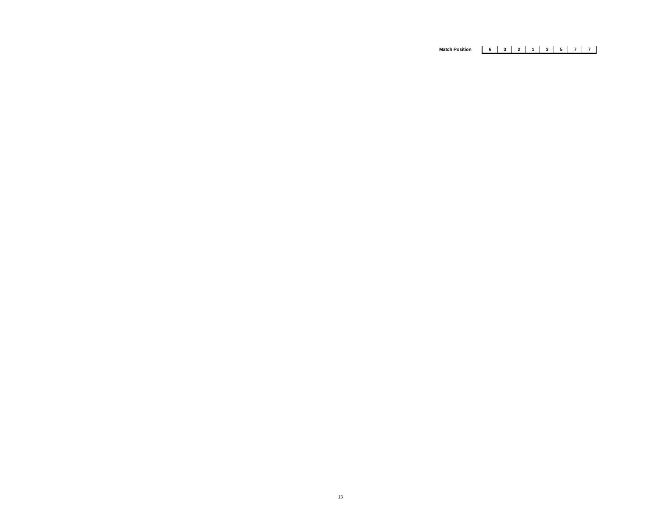# **Match Position 6 3 2 1 3 5 7 7**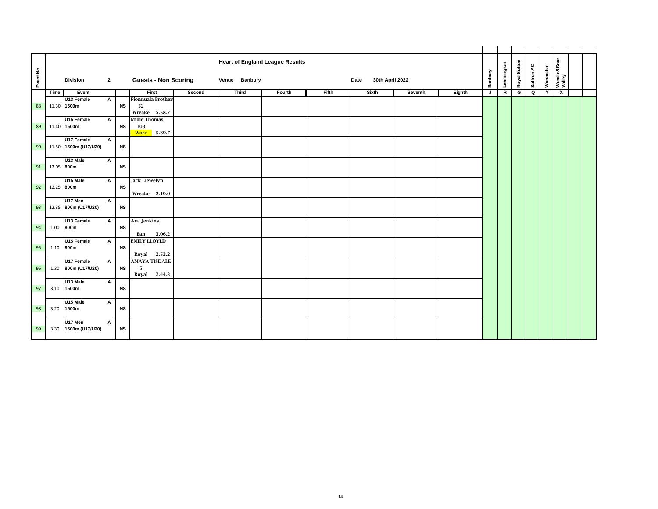| Event No |      | <b>Division</b>                     | $\overline{2}$ |           | <b>Guests - Non Scoring</b>                       |        | Venue Banbury | <b>Heart of England League Results</b> |       | 30th April 2022<br>Date |         |        | Banbury | Leamington | Royal Sutton | Saffron AC | Worcester | Wreake&Soar<br>Valley |  |
|----------|------|-------------------------------------|----------------|-----------|---------------------------------------------------|--------|---------------|----------------------------------------|-------|-------------------------|---------|--------|---------|------------|--------------|------------|-----------|-----------------------|--|
|          | Time | Event                               |                |           | First                                             | Second | <b>Third</b>  | Fourth                                 | Fifth | Sixth                   | Seventh | Eighth | J       | R          | G            | Q          | Y         | $\mathbf{x}$          |  |
| 88       |      | U13 Female<br>11.30 1500m           | А              | <b>NS</b> | <b>Fionnuala Brothert</b><br>52<br>Wreake 5.58.7  |        |               |                                        |       |                         |         |        |         |            |              |            |           |                       |  |
| 89       |      | U15 Female<br>11.40 1500m           | A              | <b>NS</b> | <b>Millie Thomas</b><br>103<br><b>Worc</b> 5.39.7 |        |               |                                        |       |                         |         |        |         |            |              |            |           |                       |  |
| 90       |      | U17 Female<br>11.50 1500m (U17/U20) | $\mathsf{A}$   | <b>NS</b> |                                                   |        |               |                                        |       |                         |         |        |         |            |              |            |           |                       |  |
| 91       |      | U13 Male<br>12.05 800m              | A              | <b>NS</b> |                                                   |        |               |                                        |       |                         |         |        |         |            |              |            |           |                       |  |
| 92       |      | U15 Male<br>12.25 800m              | A              | <b>NS</b> | <b>Jack Llewelyn</b><br>Wreake 2.19.0             |        |               |                                        |       |                         |         |        |         |            |              |            |           |                       |  |
| 93       |      | U17 Men<br>12.35 800m (U17/U20)     | A              | <b>NS</b> |                                                   |        |               |                                        |       |                         |         |        |         |            |              |            |           |                       |  |
| 94       | 1.00 | U13 Female<br>800m                  | A              | <b>NS</b> | Ava Jenkins<br>3.06.2<br>Ban                      |        |               |                                        |       |                         |         |        |         |            |              |            |           |                       |  |
| 95       | 1.10 | U15 Female<br>800m                  | A              | <b>NS</b> | <b>EMILY LLOYLD</b><br>Royal 2.52.2               |        |               |                                        |       |                         |         |        |         |            |              |            |           |                       |  |
| 96       |      | U17 Female<br>1.30 800m (U17/U20)   | $\mathsf{A}$   | <b>NS</b> | <b>AMAYA TISDALE</b><br>- 5<br>2.44.3<br>Royal    |        |               |                                        |       |                         |         |        |         |            |              |            |           |                       |  |
| 97       | 3.10 | U13 Male<br>1500m                   | А              | <b>NS</b> |                                                   |        |               |                                        |       |                         |         |        |         |            |              |            |           |                       |  |
| 98       | 3.20 | U15 Male<br>1500m                   | A              | <b>NS</b> |                                                   |        |               |                                        |       |                         |         |        |         |            |              |            |           |                       |  |
| 99       |      | U17 Men<br>3.30 1500m (U17/U20)     | А              | <b>NS</b> |                                                   |        |               |                                        |       |                         |         |        |         |            |              |            |           |                       |  |